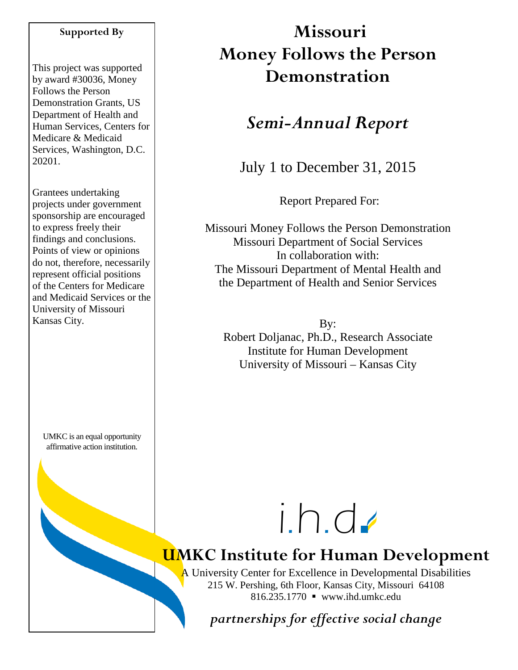#### **Supported By**

This project was supported by award #30036, Money Follows the Person Demonstration Grants, US Department of Health and Human Services, Centers for Medicare & Medicaid Services, Washington, D.C. 20201.

Grantees undertaking projects under government sponsorship are encouraged to express freely their findings and conclusions. Points of view or opinions do not, therefore, necessarily represent official positions of the Centers for Medicare and Medicaid Services or the University of Missouri Kansas City.

UMKC is an equal opportunity affirmative action institution.

# **Missouri Money Follows the Person Demonstration**

## *Semi-Annual Report*

July 1 to December 31, 2015

Report Prepared For:

Missouri Money Follows the Person Demonstration Missouri Department of Social Services In collaboration with: The Missouri Department of Mental Health and the Department of Health and Senior Services

By: Robert Doljanac, Ph.D., Research Associate Institute for Human Development University of Missouri – Kansas City



# **UMKC Institute for Human Development**

A University Center for Excellence in Developmental Disabilities 215 W. Pershing, 6th Floor, Kansas City, Missouri 64108 816.235.1770 www.ihd.umkc.edu

*partnerships for effective social change*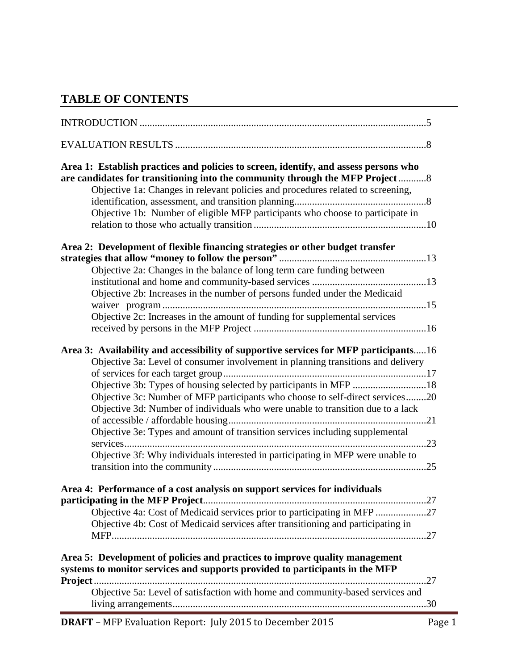## **TABLE OF CONTENTS**

| Area 1: Establish practices and policies to screen, identify, and assess persons who<br>are candidates for transitioning into the community through the MFP Project8<br>Objective 1a: Changes in relevant policies and procedures related to screening,<br>Objective 1b: Number of eligible MFP participants who choose to participate in                                                                                                                                                                                                                                            |
|--------------------------------------------------------------------------------------------------------------------------------------------------------------------------------------------------------------------------------------------------------------------------------------------------------------------------------------------------------------------------------------------------------------------------------------------------------------------------------------------------------------------------------------------------------------------------------------|
| Area 2: Development of flexible financing strategies or other budget transfer<br>Objective 2a: Changes in the balance of long term care funding between<br>Objective 2b: Increases in the number of persons funded under the Medicaid<br>Objective 2c: Increases in the amount of funding for supplemental services                                                                                                                                                                                                                                                                  |
| Area 3: Availability and accessibility of supportive services for MFP participants16<br>Objective 3a: Level of consumer involvement in planning transitions and delivery<br>Objective 3b: Types of housing selected by participants in MFP 18<br>Objective 3c: Number of MFP participants who choose to self-direct services20<br>Objective 3d: Number of individuals who were unable to transition due to a lack<br>Objective 3e: Types and amount of transition services including supplemental<br>Objective 3f: Why individuals interested in participating in MFP were unable to |
| Area 4: Performance of a cost analysis on support services for individuals<br>Objective 4a: Cost of Medicaid services prior to participating in MFP 27<br>Objective 4b: Cost of Medicaid services after transitioning and participating in<br>Area 5: Development of policies and practices to improve quality management<br>systems to monitor services and supports provided to participants in the MFP                                                                                                                                                                            |
| Objective 5a: Level of satisfaction with home and community-based services and                                                                                                                                                                                                                                                                                                                                                                                                                                                                                                       |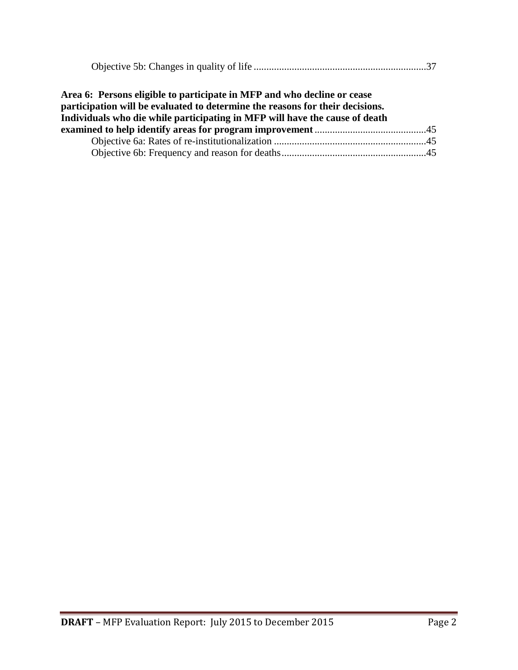|--|

| Area 6: Persons eligible to participate in MFP and who decline or cease       |  |
|-------------------------------------------------------------------------------|--|
| participation will be evaluated to determine the reasons for their decisions. |  |
| Individuals who die while participating in MFP will have the cause of death   |  |
|                                                                               |  |
|                                                                               |  |
|                                                                               |  |
|                                                                               |  |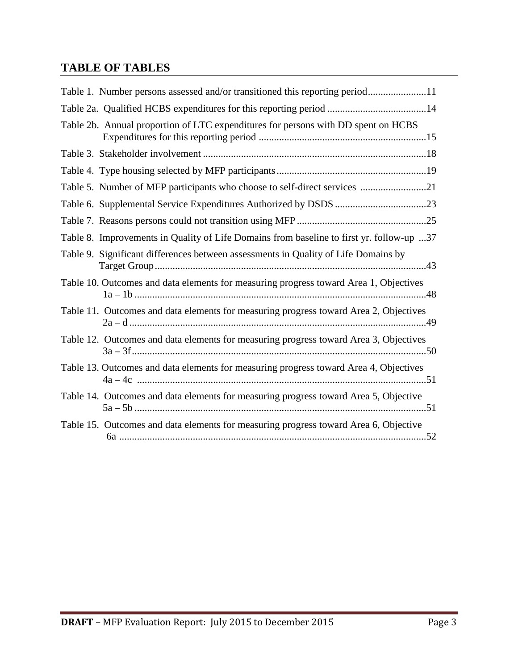## **TABLE OF TABLES**

| Table 1. Number persons assessed and/or transitioned this reporting period11             |
|------------------------------------------------------------------------------------------|
| Table 2a. Qualified HCBS expenditures for this reporting period 14                       |
| Table 2b. Annual proportion of LTC expenditures for persons with DD spent on HCBS        |
|                                                                                          |
|                                                                                          |
| Table 5. Number of MFP participants who choose to self-direct services 21                |
|                                                                                          |
|                                                                                          |
| Table 8. Improvements in Quality of Life Domains from baseline to first yr. follow-up 37 |
| Table 9. Significant differences between assessments in Quality of Life Domains by       |
| Table 10. Outcomes and data elements for measuring progress toward Area 1, Objectives    |
| Table 11. Outcomes and data elements for measuring progress toward Area 2, Objectives    |
| Table 12. Outcomes and data elements for measuring progress toward Area 3, Objectives    |
| Table 13. Outcomes and data elements for measuring progress toward Area 4, Objectives    |
| Table 14. Outcomes and data elements for measuring progress toward Area 5, Objective     |
| Table 15. Outcomes and data elements for measuring progress toward Area 6, Objective     |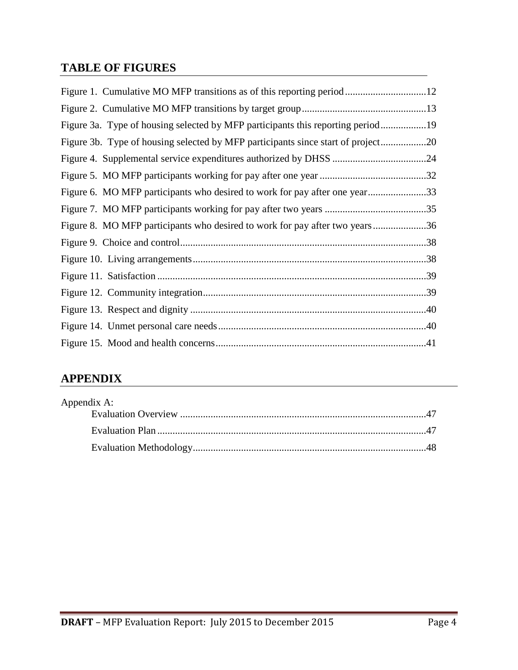## **TABLE OF FIGURES**

| Figure 3a. Type of housing selected by MFP participants this reporting period19  |  |
|----------------------------------------------------------------------------------|--|
| Figure 3b. Type of housing selected by MFP participants since start of project20 |  |
|                                                                                  |  |
|                                                                                  |  |
| Figure 6. MO MFP participants who desired to work for pay after one year33       |  |
|                                                                                  |  |
| Figure 8. MO MFP participants who desired to work for pay after two years36      |  |
|                                                                                  |  |
|                                                                                  |  |
|                                                                                  |  |
|                                                                                  |  |
|                                                                                  |  |
|                                                                                  |  |
|                                                                                  |  |

## **APPENDIX**

| Appendix A: |  |
|-------------|--|
|             |  |
|             |  |
|             |  |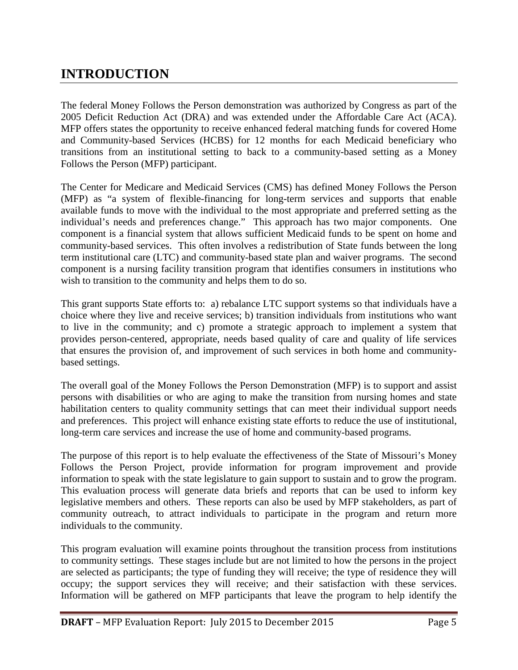## **INTRODUCTION**

The federal Money Follows the Person demonstration was authorized by Congress as part of the 2005 Deficit Reduction Act (DRA) and was extended under the Affordable Care Act (ACA). MFP offers states the opportunity to receive enhanced federal matching funds for covered Home and Community-based Services (HCBS) for 12 months for each Medicaid beneficiary who transitions from an institutional setting to back to a community-based setting as a Money Follows the Person (MFP) participant.

The Center for Medicare and Medicaid Services (CMS) has defined Money Follows the Person (MFP) as "a system of flexible-financing for long-term services and supports that enable available funds to move with the individual to the most appropriate and preferred setting as the individual's needs and preferences change." This approach has two major components. One component is a financial system that allows sufficient Medicaid funds to be spent on home and community-based services. This often involves a redistribution of State funds between the long term institutional care (LTC) and community-based state plan and waiver programs. The second component is a nursing facility transition program that identifies consumers in institutions who wish to transition to the community and helps them to do so.

This grant supports State efforts to: a) rebalance LTC support systems so that individuals have a choice where they live and receive services; b) transition individuals from institutions who want to live in the community; and c) promote a strategic approach to implement a system that provides person-centered, appropriate, needs based quality of care and quality of life services that ensures the provision of, and improvement of such services in both home and communitybased settings.

The overall goal of the Money Follows the Person Demonstration (MFP) is to support and assist persons with disabilities or who are aging to make the transition from nursing homes and state habilitation centers to quality community settings that can meet their individual support needs and preferences. This project will enhance existing state efforts to reduce the use of institutional, long-term care services and increase the use of home and community-based programs.

The purpose of this report is to help evaluate the effectiveness of the State of Missouri's Money Follows the Person Project, provide information for program improvement and provide information to speak with the state legislature to gain support to sustain and to grow the program. This evaluation process will generate data briefs and reports that can be used to inform key legislative members and others. These reports can also be used by MFP stakeholders, as part of community outreach, to attract individuals to participate in the program and return more individuals to the community.

This program evaluation will examine points throughout the transition process from institutions to community settings. These stages include but are not limited to how the persons in the project are selected as participants; the type of funding they will receive; the type of residence they will occupy; the support services they will receive; and their satisfaction with these services. Information will be gathered on MFP participants that leave the program to help identify the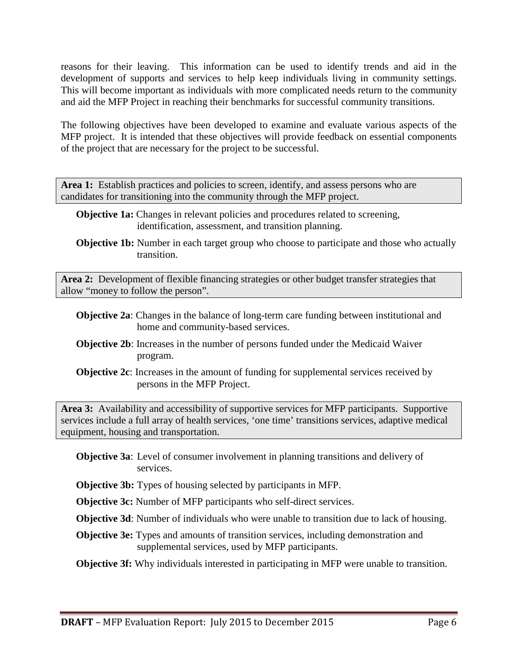reasons for their leaving. This information can be used to identify trends and aid in the development of supports and services to help keep individuals living in community settings. This will become important as individuals with more complicated needs return to the community and aid the MFP Project in reaching their benchmarks for successful community transitions.

The following objectives have been developed to examine and evaluate various aspects of the MFP project. It is intended that these objectives will provide feedback on essential components of the project that are necessary for the project to be successful.

Area 1: Establish practices and policies to screen, identify, and assess persons who are candidates for transitioning into the community through the MFP project.

- **Objective 1a:** Changes in relevant policies and procedures related to screening, identification, assessment, and transition planning.
- **Objective 1b:** Number in each target group who choose to participate and those who actually transition.

**Area 2:** Development of flexible financing strategies or other budget transfer strategies that allow "money to follow the person".

- **Objective 2a**: Changes in the balance of long-term care funding between institutional and home and community-based services.
- **Objective 2b**: Increases in the number of persons funded under the Medicaid Waiver program.
- **Objective 2c**: Increases in the amount of funding for supplemental services received by persons in the MFP Project.

**Area 3:** Availability and accessibility of supportive services for MFP participants. Supportive services include a full array of health services, 'one time' transitions services, adaptive medical equipment, housing and transportation.

- **Objective 3a**: Level of consumer involvement in planning transitions and delivery of services.
- **Objective 3b:** Types of housing selected by participants in MFP.

**Objective 3c:** Number of MFP participants who self-direct services.

**Objective 3d**: Number of individuals who were unable to transition due to lack of housing.

**Objective 3e:** Types and amounts of transition services, including demonstration and supplemental services, used by MFP participants.

**Objective 3f:** Why individuals interested in participating in MFP were unable to transition.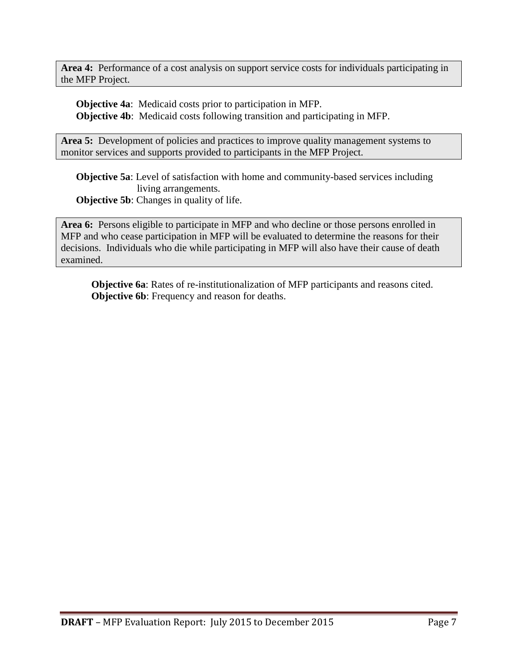**Area 4:** Performance of a cost analysis on support service costs for individuals participating in the MFP Project.

**Objective 4a**: Medicaid costs prior to participation in MFP. **Objective 4b**: Medicaid costs following transition and participating in MFP.

Area 5: Development of policies and practices to improve quality management systems to monitor services and supports provided to participants in the MFP Project.

**Objective 5a**: Level of satisfaction with home and community-based services including living arrangements.

**Objective 5b:** Changes in quality of life.

**Area 6:** Persons eligible to participate in MFP and who decline or those persons enrolled in MFP and who cease participation in MFP will be evaluated to determine the reasons for their decisions. Individuals who die while participating in MFP will also have their cause of death examined.

**Objective 6a**: Rates of re-institutionalization of MFP participants and reasons cited. **Objective 6b**: Frequency and reason for deaths.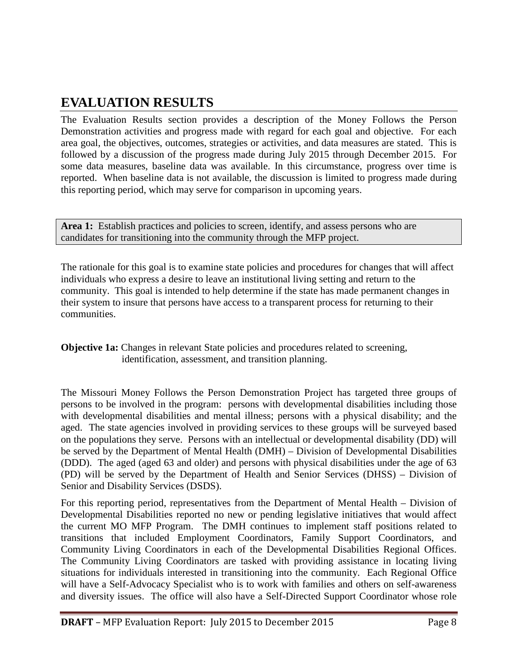## **EVALUATION RESULTS**

The Evaluation Results section provides a description of the Money Follows the Person Demonstration activities and progress made with regard for each goal and objective. For each area goal, the objectives, outcomes, strategies or activities, and data measures are stated. This is followed by a discussion of the progress made during July 2015 through December 2015. For some data measures, baseline data was available. In this circumstance, progress over time is reported. When baseline data is not available, the discussion is limited to progress made during this reporting period, which may serve for comparison in upcoming years.

Area 1: Establish practices and policies to screen, identify, and assess persons who are candidates for transitioning into the community through the MFP project.

The rationale for this goal is to examine state policies and procedures for changes that will affect individuals who express a desire to leave an institutional living setting and return to the community. This goal is intended to help determine if the state has made permanent changes in their system to insure that persons have access to a transparent process for returning to their communities.

**Objective 1a:** Changes in relevant State policies and procedures related to screening, identification, assessment, and transition planning.

The Missouri Money Follows the Person Demonstration Project has targeted three groups of persons to be involved in the program: persons with developmental disabilities including those with developmental disabilities and mental illness; persons with a physical disability; and the aged. The state agencies involved in providing services to these groups will be surveyed based on the populations they serve. Persons with an intellectual or developmental disability (DD) will be served by the Department of Mental Health (DMH) – Division of Developmental Disabilities (DDD). The aged (aged 63 and older) and persons with physical disabilities under the age of 63 (PD) will be served by the Department of Health and Senior Services (DHSS) – Division of Senior and Disability Services (DSDS).

For this reporting period, representatives from the Department of Mental Health – Division of Developmental Disabilities reported no new or pending legislative initiatives that would affect the current MO MFP Program. The DMH continues to implement staff positions related to transitions that included Employment Coordinators, Family Support Coordinators, and Community Living Coordinators in each of the Developmental Disabilities Regional Offices. The Community Living Coordinators are tasked with providing assistance in locating living situations for individuals interested in transitioning into the community. Each Regional Office will have a Self-Advocacy Specialist who is to work with families and others on self-awareness and diversity issues. The office will also have a Self-Directed Support Coordinator whose role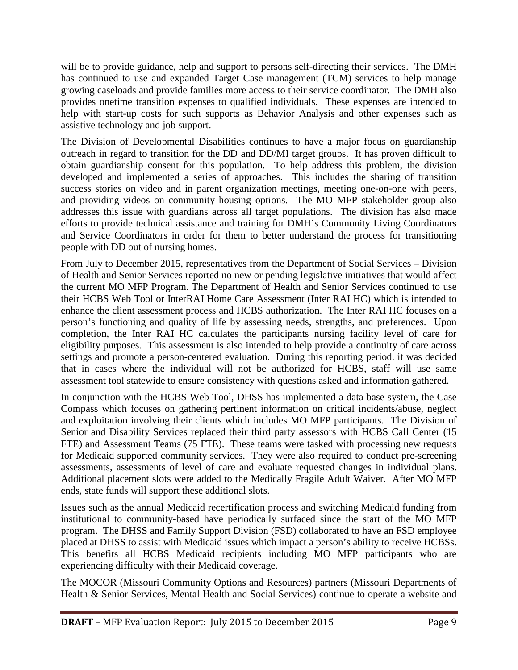will be to provide guidance, help and support to persons self-directing their services. The DMH has continued to use and expanded Target Case management (TCM) services to help manage growing caseloads and provide families more access to their service coordinator. The DMH also provides onetime transition expenses to qualified individuals. These expenses are intended to help with start-up costs for such supports as Behavior Analysis and other expenses such as assistive technology and job support.

The Division of Developmental Disabilities continues to have a major focus on guardianship outreach in regard to transition for the DD and DD/MI target groups. It has proven difficult to obtain guardianship consent for this population. To help address this problem, the division developed and implemented a series of approaches. This includes the sharing of transition success stories on video and in parent organization meetings, meeting one-on-one with peers, and providing videos on community housing options. The MO MFP stakeholder group also addresses this issue with guardians across all target populations. The division has also made efforts to provide technical assistance and training for DMH's Community Living Coordinators and Service Coordinators in order for them to better understand the process for transitioning people with DD out of nursing homes.

From July to December 2015, representatives from the Department of Social Services – Division of Health and Senior Services reported no new or pending legislative initiatives that would affect the current MO MFP Program. The Department of Health and Senior Services continued to use their HCBS Web Tool or InterRAI Home Care Assessment (Inter RAI HC) which is intended to enhance the client assessment process and HCBS authorization. The Inter RAI HC focuses on a person's functioning and quality of life by assessing needs, strengths, and preferences. Upon completion, the Inter RAI HC calculates the participants nursing facility level of care for eligibility purposes. This assessment is also intended to help provide a continuity of care across settings and promote a person-centered evaluation. During this reporting period. it was decided that in cases where the individual will not be authorized for HCBS, staff will use same assessment tool statewide to ensure consistency with questions asked and information gathered.

In conjunction with the HCBS Web Tool, DHSS has implemented a data base system, the Case Compass which focuses on gathering pertinent information on critical incidents/abuse, neglect and exploitation involving their clients which includes MO MFP participants. The Division of Senior and Disability Services replaced their third party assessors with HCBS Call Center (15 FTE) and Assessment Teams (75 FTE). These teams were tasked with processing new requests for Medicaid supported community services. They were also required to conduct pre-screening assessments, assessments of level of care and evaluate requested changes in individual plans. Additional placement slots were added to the Medically Fragile Adult Waiver. After MO MFP ends, state funds will support these additional slots.

Issues such as the annual Medicaid recertification process and switching Medicaid funding from institutional to community-based have periodically surfaced since the start of the MO MFP program. The DHSS and Family Support Division (FSD) collaborated to have an FSD employee placed at DHSS to assist with Medicaid issues which impact a person's ability to receive HCBSs. This benefits all HCBS Medicaid recipients including MO MFP participants who are experiencing difficulty with their Medicaid coverage.

The MOCOR (Missouri Community Options and Resources) partners (Missouri Departments of Health & Senior Services, Mental Health and Social Services) continue to operate a website and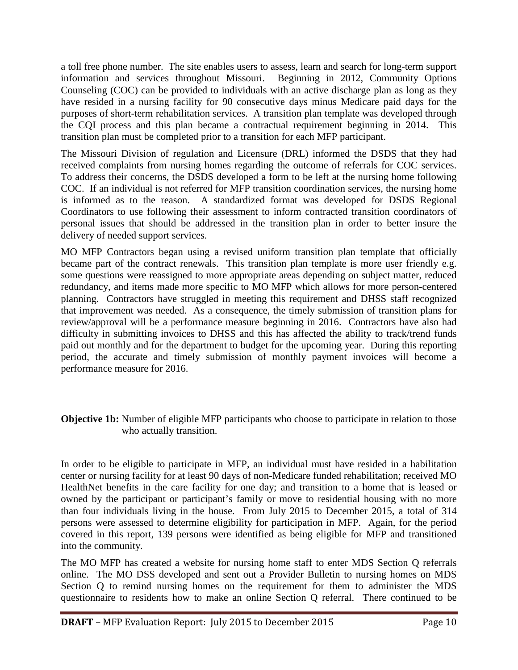a toll free phone number. The site enables users to assess, learn and search for long-term support information and services throughout Missouri. Beginning in 2012, Community Options Counseling (COC) can be provided to individuals with an active discharge plan as long as they have resided in a nursing facility for 90 consecutive days minus Medicare paid days for the purposes of short-term rehabilitation services. A transition plan template was developed through the CQI process and this plan became a contractual requirement beginning in 2014. This transition plan must be completed prior to a transition for each MFP participant.

The Missouri Division of regulation and Licensure (DRL) informed the DSDS that they had received complaints from nursing homes regarding the outcome of referrals for COC services. To address their concerns, the DSDS developed a form to be left at the nursing home following COC. If an individual is not referred for MFP transition coordination services, the nursing home is informed as to the reason. A standardized format was developed for DSDS Regional Coordinators to use following their assessment to inform contracted transition coordinators of personal issues that should be addressed in the transition plan in order to better insure the delivery of needed support services.

MO MFP Contractors began using a revised uniform transition plan template that officially became part of the contract renewals. This transition plan template is more user friendly e.g. some questions were reassigned to more appropriate areas depending on subject matter, reduced redundancy, and items made more specific to MO MFP which allows for more person-centered planning. Contractors have struggled in meeting this requirement and DHSS staff recognized that improvement was needed. As a consequence, the timely submission of transition plans for review/approval will be a performance measure beginning in 2016. Contractors have also had difficulty in submitting invoices to DHSS and this has affected the ability to track/trend funds paid out monthly and for the department to budget for the upcoming year. During this reporting period, the accurate and timely submission of monthly payment invoices will become a performance measure for 2016.

#### **Objective 1b:** Number of eligible MFP participants who choose to participate in relation to those who actually transition.

In order to be eligible to participate in MFP, an individual must have resided in a habilitation center or nursing facility for at least 90 days of non-Medicare funded rehabilitation; received MO HealthNet benefits in the care facility for one day; and transition to a home that is leased or owned by the participant or participant's family or move to residential housing with no more than four individuals living in the house. From July 2015 to December 2015, a total of 314 persons were assessed to determine eligibility for participation in MFP. Again, for the period covered in this report, 139 persons were identified as being eligible for MFP and transitioned into the community.

The MO MFP has created a website for nursing home staff to enter MDS Section Q referrals online. The MO DSS developed and sent out a Provider Bulletin to nursing homes on MDS Section Q to remind nursing homes on the requirement for them to administer the MDS questionnaire to residents how to make an online Section Q referral. There continued to be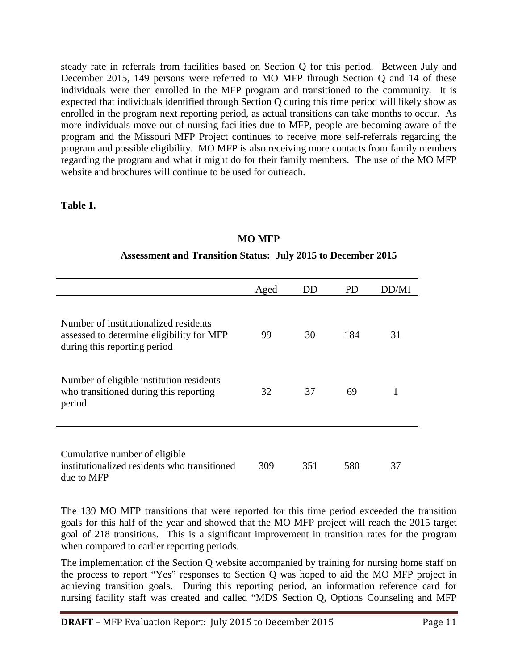steady rate in referrals from facilities based on Section Q for this period. Between July and December 2015, 149 persons were referred to MO MFP through Section Q and 14 of these individuals were then enrolled in the MFP program and transitioned to the community. It is expected that individuals identified through Section Q during this time period will likely show as enrolled in the program next reporting period, as actual transitions can take months to occur. As more individuals move out of nursing facilities due to MFP, people are becoming aware of the program and the Missouri MFP Project continues to receive more self-referrals regarding the program and possible eligibility. MO MFP is also receiving more contacts from family members regarding the program and what it might do for their family members. The use of the MO MFP website and brochures will continue to be used for outreach.

**Table 1.**

#### **MO MFP**

|                                                                                                                    | Aged | DD  | PD. | DD/MI |
|--------------------------------------------------------------------------------------------------------------------|------|-----|-----|-------|
| Number of institutionalized residents<br>assessed to determine eligibility for MFP<br>during this reporting period | 99   | 30  | 184 | 31    |
| Number of eligible institution residents<br>who transitioned during this reporting<br>period                       | 32   | 37  | 69  | 1     |
| Cumulative number of eligible<br>institutionalized residents who transitioned<br>due to MFP                        | 309  | 351 | 580 | 37    |

#### **Assessment and Transition Status: July 2015 to December 2015**

The 139 MO MFP transitions that were reported for this time period exceeded the transition goals for this half of the year and showed that the MO MFP project will reach the 2015 target goal of 218 transitions. This is a significant improvement in transition rates for the program when compared to earlier reporting periods.

The implementation of the Section Q website accompanied by training for nursing home staff on the process to report "Yes" responses to Section Q was hoped to aid the MO MFP project in achieving transition goals. During this reporting period, an information reference card for nursing facility staff was created and called "MDS Section Q, Options Counseling and MFP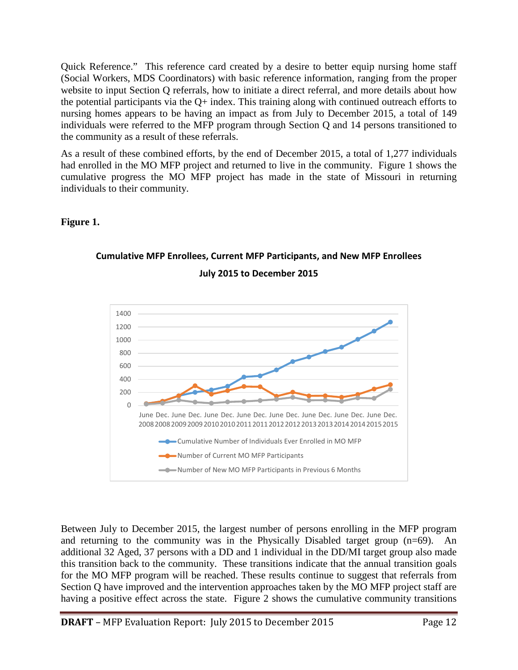Quick Reference." This reference card created by a desire to better equip nursing home staff (Social Workers, MDS Coordinators) with basic reference information, ranging from the proper website to input Section Q referrals, how to initiate a direct referral, and more details about how the potential participants via the  $Q+$  index. This training along with continued outreach efforts to nursing homes appears to be having an impact as from July to December 2015, a total of 149 individuals were referred to the MFP program through Section Q and 14 persons transitioned to the community as a result of these referrals.

As a result of these combined efforts, by the end of December 2015, a total of 1,277 individuals had enrolled in the MO MFP project and returned to live in the community. Figure 1 shows the cumulative progress the MO MFP project has made in the state of Missouri in returning individuals to their community.

#### **Figure 1.**



## **Cumulative MFP Enrollees, Current MFP Participants, and New MFP Enrollees July 2015 to December 2015**

Between July to December 2015, the largest number of persons enrolling in the MFP program and returning to the community was in the Physically Disabled target group (n=69). An additional 32 Aged, 37 persons with a DD and 1 individual in the DD/MI target group also made this transition back to the community. These transitions indicate that the annual transition goals for the MO MFP program will be reached. These results continue to suggest that referrals from Section Q have improved and the intervention approaches taken by the MO MFP project staff are having a positive effect across the state. Figure 2 shows the cumulative community transitions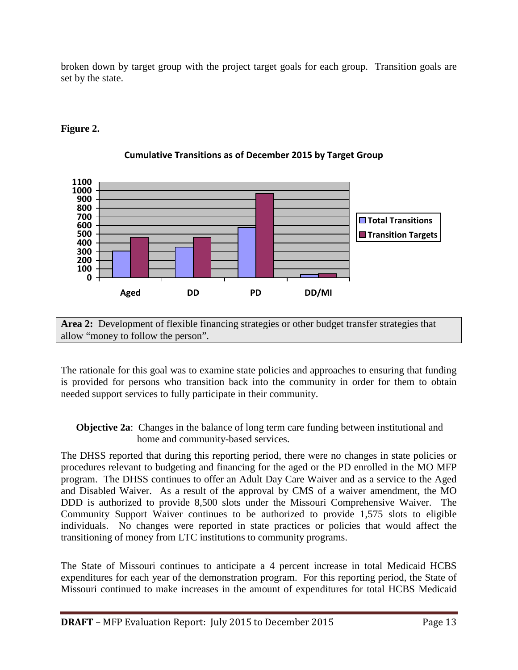broken down by target group with the project target goals for each group. Transition goals are set by the state.

#### **Figure 2.**



#### **Cumulative Transitions as of December 2015 by Target Group**

**Area 2:** Development of flexible financing strategies or other budget transfer strategies that allow "money to follow the person".

The rationale for this goal was to examine state policies and approaches to ensuring that funding is provided for persons who transition back into the community in order for them to obtain needed support services to fully participate in their community.

#### **Objective 2a:** Changes in the balance of long term care funding between institutional and home and community-based services.

The DHSS reported that during this reporting period, there were no changes in state policies or procedures relevant to budgeting and financing for the aged or the PD enrolled in the MO MFP program. The DHSS continues to offer an Adult Day Care Waiver and as a service to the Aged and Disabled Waiver. As a result of the approval by CMS of a waiver amendment, the MO DDD is authorized to provide 8,500 slots under the Missouri Comprehensive Waiver. The Community Support Waiver continues to be authorized to provide 1,575 slots to eligible individuals. No changes were reported in state practices or policies that would affect the transitioning of money from LTC institutions to community programs.

The State of Missouri continues to anticipate a 4 percent increase in total Medicaid HCBS expenditures for each year of the demonstration program. For this reporting period, the State of Missouri continued to make increases in the amount of expenditures for total HCBS Medicaid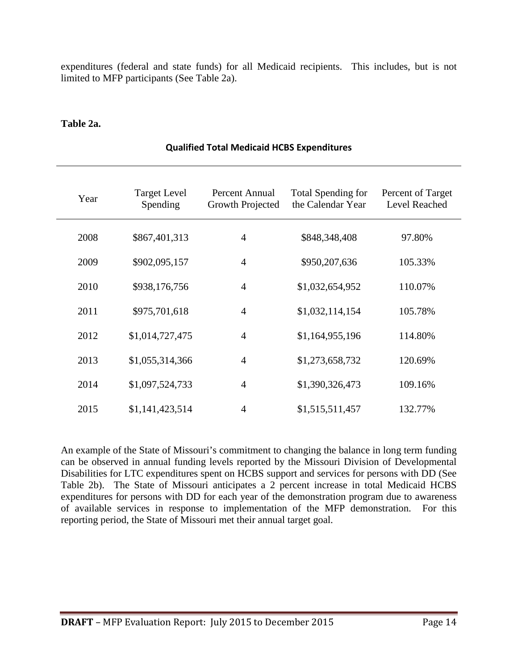expenditures (federal and state funds) for all Medicaid recipients. This includes, but is not limited to MFP participants (See Table 2a).

#### **Table 2a.**

| Year | <b>Target Level</b><br>Spending | Percent Annual<br>Growth Projected | Total Spending for<br>the Calendar Year | Percent of Target<br>Level Reached |
|------|---------------------------------|------------------------------------|-----------------------------------------|------------------------------------|
| 2008 | \$867,401,313                   | $\overline{4}$                     | \$848,348,408                           | 97.80%                             |
| 2009 | \$902,095,157                   | $\overline{4}$                     | \$950,207,636                           | 105.33%                            |
| 2010 | \$938,176,756                   | $\overline{4}$                     | \$1,032,654,952                         | 110.07%                            |
| 2011 | \$975,701,618                   | $\overline{4}$                     | \$1,032,114,154                         | 105.78%                            |
| 2012 | \$1,014,727,475                 | $\overline{4}$                     | \$1,164,955,196                         | 114.80%                            |
| 2013 | \$1,055,314,366                 | $\overline{4}$                     | \$1,273,658,732                         | 120.69%                            |
| 2014 | \$1,097,524,733                 | $\overline{4}$                     | \$1,390,326,473                         | 109.16%                            |
| 2015 | \$1,141,423,514                 | $\overline{4}$                     | \$1,515,511,457                         | 132.77%                            |

#### **Qualified Total Medicaid HCBS Expenditures**

An example of the State of Missouri's commitment to changing the balance in long term funding can be observed in annual funding levels reported by the Missouri Division of Developmental Disabilities for LTC expenditures spent on HCBS support and services for persons with DD (See Table 2b). The State of Missouri anticipates a 2 percent increase in total Medicaid HCBS expenditures for persons with DD for each year of the demonstration program due to awareness of available services in response to implementation of the MFP demonstration. For this reporting period, the State of Missouri met their annual target goal.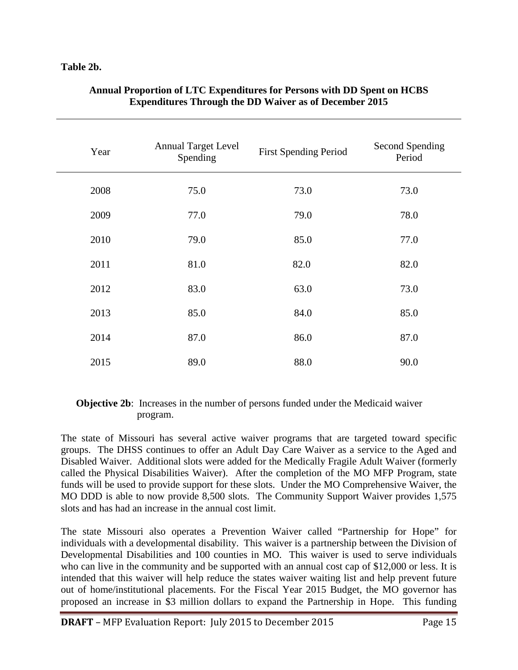#### **Table 2b.**

| Year | <b>Annual Target Level</b><br>Spending | <b>First Spending Period</b> | Second Spending<br>Period |
|------|----------------------------------------|------------------------------|---------------------------|
| 2008 | 75.0                                   | 73.0                         | 73.0                      |
| 2009 | 77.0                                   | 79.0                         | 78.0                      |
| 2010 | 79.0                                   | 85.0                         | 77.0                      |
| 2011 | 81.0                                   | 82.0                         | 82.0                      |
| 2012 | 83.0                                   | 63.0                         | 73.0                      |
| 2013 | 85.0                                   | 84.0                         | 85.0                      |
| 2014 | 87.0                                   | 86.0                         | 87.0                      |
| 2015 | 89.0                                   | 88.0                         | 90.0                      |

#### **Annual Proportion of LTC Expenditures for Persons with DD Spent on HCBS Expenditures Through the DD Waiver as of December 2015**

#### **Objective 2b**: Increases in the number of persons funded under the Medicaid waiver program.

The state of Missouri has several active waiver programs that are targeted toward specific groups. The DHSS continues to offer an Adult Day Care Waiver as a service to the Aged and Disabled Waiver. Additional slots were added for the Medically Fragile Adult Waiver (formerly called the Physical Disabilities Waiver). After the completion of the MO MFP Program, state funds will be used to provide support for these slots. Under the MO Comprehensive Waiver, the MO DDD is able to now provide 8,500 slots. The Community Support Waiver provides 1,575 slots and has had an increase in the annual cost limit.

The state Missouri also operates a Prevention Waiver called "Partnership for Hope" for individuals with a developmental disability. This waiver is a partnership between the Division of Developmental Disabilities and 100 counties in MO. This waiver is used to serve individuals who can live in the community and be supported with an annual cost cap of \$12,000 or less. It is intended that this waiver will help reduce the states waiver waiting list and help prevent future out of home/institutional placements. For the Fiscal Year 2015 Budget, the MO governor has proposed an increase in \$3 million dollars to expand the Partnership in Hope. This funding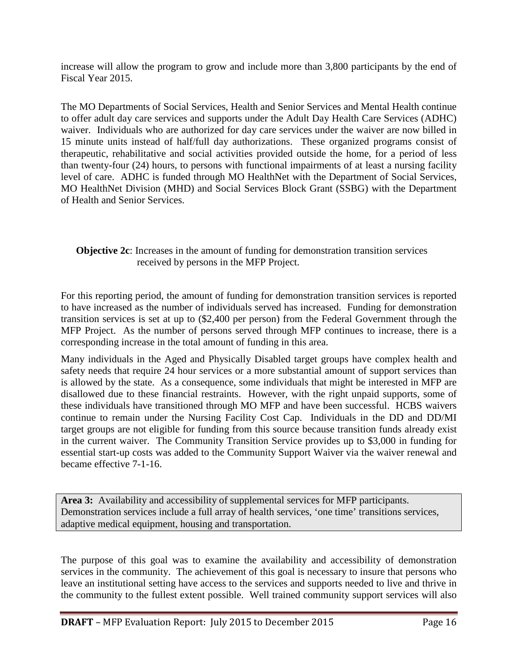increase will allow the program to grow and include more than 3,800 participants by the end of Fiscal Year 2015.

The MO Departments of Social Services, Health and Senior Services and Mental Health continue to offer adult day care services and supports under the Adult Day Health Care Services (ADHC) waiver. Individuals who are authorized for day care services under the waiver are now billed in 15 minute units instead of half/full day authorizations. These organized programs consist of therapeutic, rehabilitative and social activities provided outside the home, for a period of less than twenty-four (24) hours, to persons with functional impairments of at least a nursing facility level of care. ADHC is funded through MO HealthNet with the Department of Social Services, MO HealthNet Division (MHD) and Social Services Block Grant (SSBG) with the Department of Health and Senior Services.

#### **Objective 2c**: Increases in the amount of funding for demonstration transition services received by persons in the MFP Project.

For this reporting period, the amount of funding for demonstration transition services is reported to have increased as the number of individuals served has increased. Funding for demonstration transition services is set at up to (\$2,400 per person) from the Federal Government through the MFP Project. As the number of persons served through MFP continues to increase, there is a corresponding increase in the total amount of funding in this area.

Many individuals in the Aged and Physically Disabled target groups have complex health and safety needs that require 24 hour services or a more substantial amount of support services than is allowed by the state. As a consequence, some individuals that might be interested in MFP are disallowed due to these financial restraints. However, with the right unpaid supports, some of these individuals have transitioned through MO MFP and have been successful. HCBS waivers continue to remain under the Nursing Facility Cost Cap. Individuals in the DD and DD/MI target groups are not eligible for funding from this source because transition funds already exist in the current waiver. The Community Transition Service provides up to \$3,000 in funding for essential start-up costs was added to the Community Support Waiver via the waiver renewal and became effective 7-1-16.

**Area 3:** Availability and accessibility of supplemental services for MFP participants. Demonstration services include a full array of health services, 'one time' transitions services, adaptive medical equipment, housing and transportation.

The purpose of this goal was to examine the availability and accessibility of demonstration services in the community. The achievement of this goal is necessary to insure that persons who leave an institutional setting have access to the services and supports needed to live and thrive in the community to the fullest extent possible. Well trained community support services will also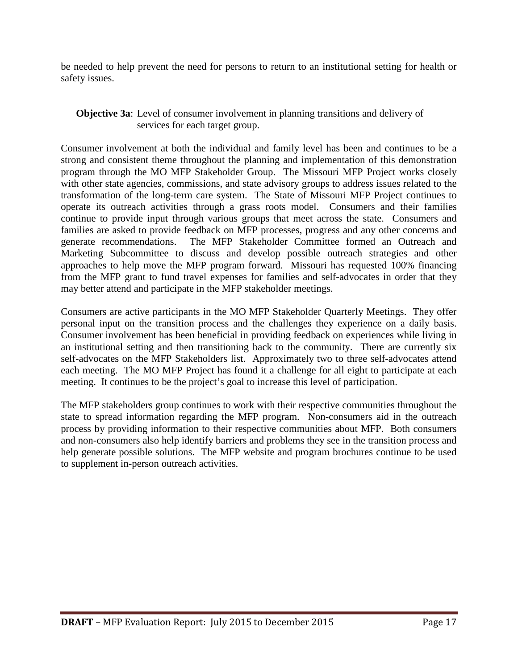be needed to help prevent the need for persons to return to an institutional setting for health or safety issues.

#### **Objective 3a**: Level of consumer involvement in planning transitions and delivery of services for each target group.

Consumer involvement at both the individual and family level has been and continues to be a strong and consistent theme throughout the planning and implementation of this demonstration program through the MO MFP Stakeholder Group. The Missouri MFP Project works closely with other state agencies, commissions, and state advisory groups to address issues related to the transformation of the long-term care system. The State of Missouri MFP Project continues to operate its outreach activities through a grass roots model. Consumers and their families continue to provide input through various groups that meet across the state. Consumers and families are asked to provide feedback on MFP processes, progress and any other concerns and generate recommendations. The MFP Stakeholder Committee formed an Outreach and Marketing Subcommittee to discuss and develop possible outreach strategies and other approaches to help move the MFP program forward. Missouri has requested 100% financing from the MFP grant to fund travel expenses for families and self-advocates in order that they may better attend and participate in the MFP stakeholder meetings.

Consumers are active participants in the MO MFP Stakeholder Quarterly Meetings. They offer personal input on the transition process and the challenges they experience on a daily basis. Consumer involvement has been beneficial in providing feedback on experiences while living in an institutional setting and then transitioning back to the community. There are currently six self-advocates on the MFP Stakeholders list. Approximately two to three self-advocates attend each meeting. The MO MFP Project has found it a challenge for all eight to participate at each meeting. It continues to be the project's goal to increase this level of participation.

The MFP stakeholders group continues to work with their respective communities throughout the state to spread information regarding the MFP program. Non-consumers aid in the outreach process by providing information to their respective communities about MFP. Both consumers and non-consumers also help identify barriers and problems they see in the transition process and help generate possible solutions. The MFP website and program brochures continue to be used to supplement in-person outreach activities.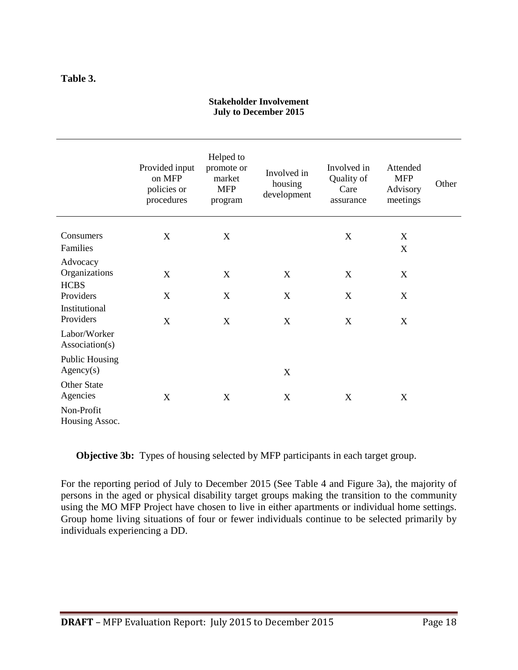#### **Table 3.**

|                                          | Provided input<br>on MFP<br>policies or<br>procedures | Helped to<br>promote or<br>market<br><b>MFP</b><br>program | Involved in<br>housing<br>development | Involved in<br>Quality of<br>Care<br>assurance | Attended<br><b>MFP</b><br>Advisory<br>meetings | Other |
|------------------------------------------|-------------------------------------------------------|------------------------------------------------------------|---------------------------------------|------------------------------------------------|------------------------------------------------|-------|
| Consumers<br>Families                    | X                                                     | X                                                          |                                       | X                                              | X<br>X                                         |       |
| Advocacy<br>Organizations<br><b>HCBS</b> | X                                                     | $\mathbf X$                                                | $\mathbf X$                           | X                                              | X                                              |       |
| Providers<br>Institutional<br>Providers  | X<br>X                                                | X<br>X                                                     | X<br>X                                | X<br>X                                         | X<br>X                                         |       |
| Labor/Worker<br>Association(s)           |                                                       |                                                            |                                       |                                                |                                                |       |
| <b>Public Housing</b><br>Agency(s)       |                                                       |                                                            | X                                     |                                                |                                                |       |
| <b>Other State</b><br>Agencies           | X                                                     | X                                                          | X                                     | X                                              | X                                              |       |
| Non-Profit<br>Housing Assoc.             |                                                       |                                                            |                                       |                                                |                                                |       |

#### **Stakeholder Involvement July to December 2015**

**Objective 3b:** Types of housing selected by MFP participants in each target group.

For the reporting period of July to December 2015 (See Table 4 and Figure 3a), the majority of persons in the aged or physical disability target groups making the transition to the community using the MO MFP Project have chosen to live in either apartments or individual home settings. Group home living situations of four or fewer individuals continue to be selected primarily by individuals experiencing a DD.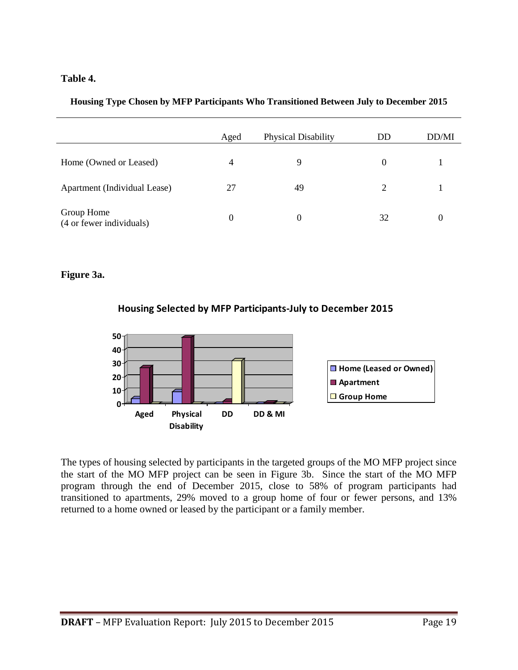#### **Table 4.**

|  |  |  | Housing Type Chosen by MFP Participants Who Transitioned Between July to December 2015 |  |  |
|--|--|--|----------------------------------------------------------------------------------------|--|--|
|  |  |  |                                                                                        |  |  |
|  |  |  |                                                                                        |  |  |
|  |  |  |                                                                                        |  |  |

|                                        | Aged | Physical Disability | DD             | DD/MI |
|----------------------------------------|------|---------------------|----------------|-------|
| Home (Owned or Leased)                 | 4    | 9                   | $\theta$       |       |
| Apartment (Individual Lease)           | 27   | 49                  | $\overline{2}$ |       |
| Group Home<br>(4 or fewer individuals) | 0    | $\Omega$            | 32             |       |

#### **Figure 3a.**





The types of housing selected by participants in the targeted groups of the MO MFP project since the start of the MO MFP project can be seen in Figure 3b. Since the start of the MO MFP program through the end of December 2015, close to 58% of program participants had transitioned to apartments, 29% moved to a group home of four or fewer persons, and 13% returned to a home owned or leased by the participant or a family member.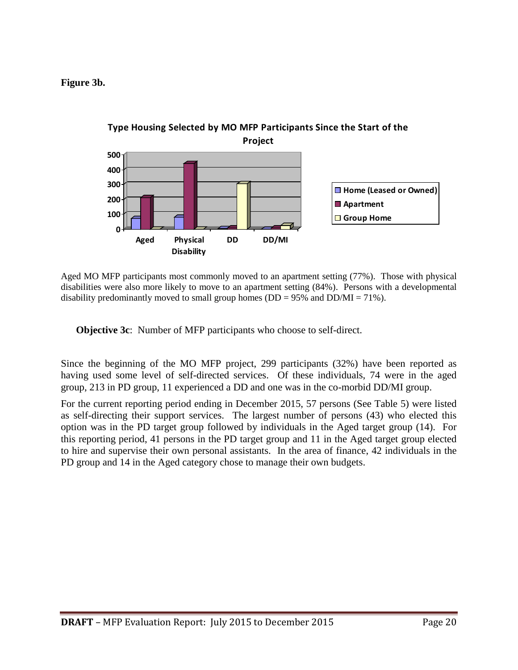**Figure 3b.**



Aged MO MFP participants most commonly moved to an apartment setting (77%). Those with physical disabilities were also more likely to move to an apartment setting (84%). Persons with a developmental disability predominantly moved to small group homes ( $DD = 95\%$  and  $DD/MI = 71\%$ ).

**Objective 3c**: Number of MFP participants who choose to self-direct.

Since the beginning of the MO MFP project, 299 participants (32%) have been reported as having used some level of self-directed services. Of these individuals, 74 were in the aged group, 213 in PD group, 11 experienced a DD and one was in the co-morbid DD/MI group.

For the current reporting period ending in December 2015, 57 persons (See Table 5) were listed as self-directing their support services. The largest number of persons (43) who elected this option was in the PD target group followed by individuals in the Aged target group (14). For this reporting period, 41 persons in the PD target group and 11 in the Aged target group elected to hire and supervise their own personal assistants. In the area of finance, 42 individuals in the PD group and 14 in the Aged category chose to manage their own budgets.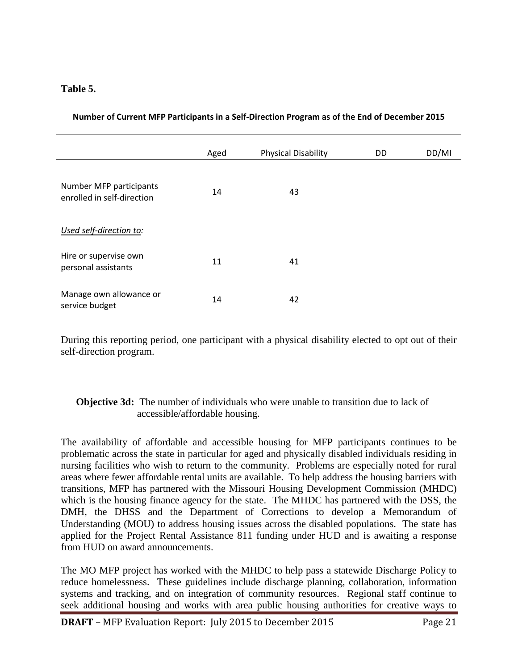#### **Table 5.**

|                                                       | Aged | <b>Physical Disability</b> | DD | DD/MI |
|-------------------------------------------------------|------|----------------------------|----|-------|
| Number MFP participants<br>enrolled in self-direction | 14   | 43                         |    |       |
| Used self-direction to:                               |      |                            |    |       |
| Hire or supervise own<br>personal assistants          | 11   | 41                         |    |       |
| Manage own allowance or<br>service budget             | 14   | 42                         |    |       |

**Number of Current MFP Participants in a Self-Direction Program as of the End of December 2015**

During this reporting period, one participant with a physical disability elected to opt out of their self-direction program.

#### **Objective 3d:** The number of individuals who were unable to transition due to lack of accessible/affordable housing.

The availability of affordable and accessible housing for MFP participants continues to be problematic across the state in particular for aged and physically disabled individuals residing in nursing facilities who wish to return to the community. Problems are especially noted for rural areas where fewer affordable rental units are available. To help address the housing barriers with transitions, MFP has partnered with the Missouri Housing Development Commission (MHDC) which is the housing finance agency for the state. The MHDC has partnered with the DSS, the DMH, the DHSS and the Department of Corrections to develop a Memorandum of Understanding (MOU) to address housing issues across the disabled populations. The state has applied for the Project Rental Assistance 811 funding under HUD and is awaiting a response from HUD on award announcements.

The MO MFP project has worked with the MHDC to help pass a statewide Discharge Policy to reduce homelessness. These guidelines include discharge planning, collaboration, information systems and tracking, and on integration of community resources. Regional staff continue to seek additional housing and works with area public housing authorities for creative ways to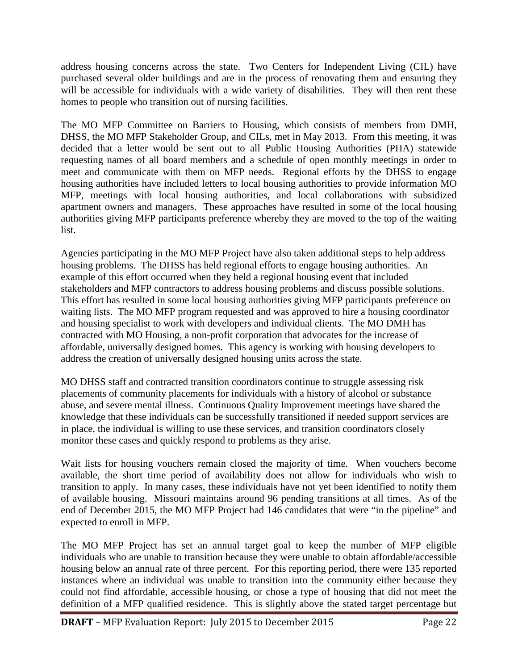address housing concerns across the state. Two Centers for Independent Living (CIL) have purchased several older buildings and are in the process of renovating them and ensuring they will be accessible for individuals with a wide variety of disabilities. They will then rent these homes to people who transition out of nursing facilities.

The MO MFP Committee on Barriers to Housing, which consists of members from DMH, DHSS, the MO MFP Stakeholder Group, and CILs, met in May 2013. From this meeting, it was decided that a letter would be sent out to all Public Housing Authorities (PHA) statewide requesting names of all board members and a schedule of open monthly meetings in order to meet and communicate with them on MFP needs. Regional efforts by the DHSS to engage housing authorities have included letters to local housing authorities to provide information MO MFP, meetings with local housing authorities, and local collaborations with subsidized apartment owners and managers. These approaches have resulted in some of the local housing authorities giving MFP participants preference whereby they are moved to the top of the waiting list.

Agencies participating in the MO MFP Project have also taken additional steps to help address housing problems. The DHSS has held regional efforts to engage housing authorities. An example of this effort occurred when they held a regional housing event that included stakeholders and MFP contractors to address housing problems and discuss possible solutions. This effort has resulted in some local housing authorities giving MFP participants preference on waiting lists. The MO MFP program requested and was approved to hire a housing coordinator and housing specialist to work with developers and individual clients. The MO DMH has contracted with MO Housing, a non-profit corporation that advocates for the increase of affordable, universally designed homes. This agency is working with housing developers to address the creation of universally designed housing units across the state.

MO DHSS staff and contracted transition coordinators continue to struggle assessing risk placements of community placements for individuals with a history of alcohol or substance abuse, and severe mental illness. Continuous Quality Improvement meetings have shared the knowledge that these individuals can be successfully transitioned if needed support services are in place, the individual is willing to use these services, and transition coordinators closely monitor these cases and quickly respond to problems as they arise.

Wait lists for housing vouchers remain closed the majority of time. When vouchers become available, the short time period of availability does not allow for individuals who wish to transition to apply. In many cases, these individuals have not yet been identified to notify them of available housing. Missouri maintains around 96 pending transitions at all times. As of the end of December 2015, the MO MFP Project had 146 candidates that were "in the pipeline" and expected to enroll in MFP.

The MO MFP Project has set an annual target goal to keep the number of MFP eligible individuals who are unable to transition because they were unable to obtain affordable/accessible housing below an annual rate of three percent. For this reporting period, there were 135 reported instances where an individual was unable to transition into the community either because they could not find affordable, accessible housing, or chose a type of housing that did not meet the definition of a MFP qualified residence. This is slightly above the stated target percentage but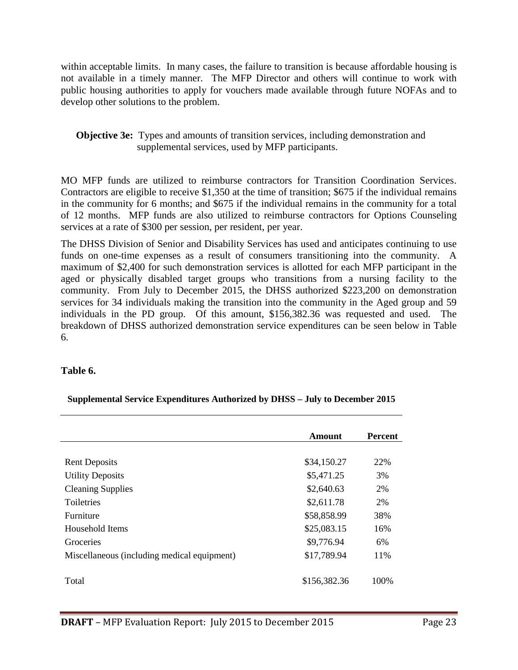within acceptable limits. In many cases, the failure to transition is because affordable housing is not available in a timely manner. The MFP Director and others will continue to work with public housing authorities to apply for vouchers made available through future NOFAs and to develop other solutions to the problem.

**Objective 3e:** Types and amounts of transition services, including demonstration and supplemental services, used by MFP participants.

MO MFP funds are utilized to reimburse contractors for Transition Coordination Services. Contractors are eligible to receive \$1,350 at the time of transition; \$675 if the individual remains in the community for 6 months; and \$675 if the individual remains in the community for a total of 12 months. MFP funds are also utilized to reimburse contractors for Options Counseling services at a rate of \$300 per session, per resident, per year.

The DHSS Division of Senior and Disability Services has used and anticipates continuing to use funds on one-time expenses as a result of consumers transitioning into the community. A maximum of \$2,400 for such demonstration services is allotted for each MFP participant in the aged or physically disabled target groups who transitions from a nursing facility to the community. From July to December 2015, the DHSS authorized \$223,200 on demonstration services for 34 individuals making the transition into the community in the Aged group and 59 individuals in the PD group. Of this amount, \$156,382.36 was requested and used. The breakdown of DHSS authorized demonstration service expenditures can be seen below in Table 6.

#### **Table 6.**

|                                             | <b>Amount</b> | <b>Percent</b> |
|---------------------------------------------|---------------|----------------|
|                                             |               |                |
| <b>Rent Deposits</b>                        | \$34,150.27   | 22%            |
| <b>Utility Deposits</b>                     | \$5,471.25    | 3%             |
| <b>Cleaning Supplies</b>                    | \$2,640.63    | 2%             |
| Toiletries                                  | \$2,611.78    | <b>2%</b>      |
| Furniture                                   | \$58,858.99   | 38%            |
| Household Items                             | \$25,083.15   | 16%            |
| Groceries                                   | \$9,776.94    | 6%             |
| Miscellaneous (including medical equipment) | \$17,789.94   | 11%            |
|                                             |               |                |
| Total                                       | \$156,382.36  | 100%           |

**Supplemental Service Expenditures Authorized by DHSS – July to December 2015**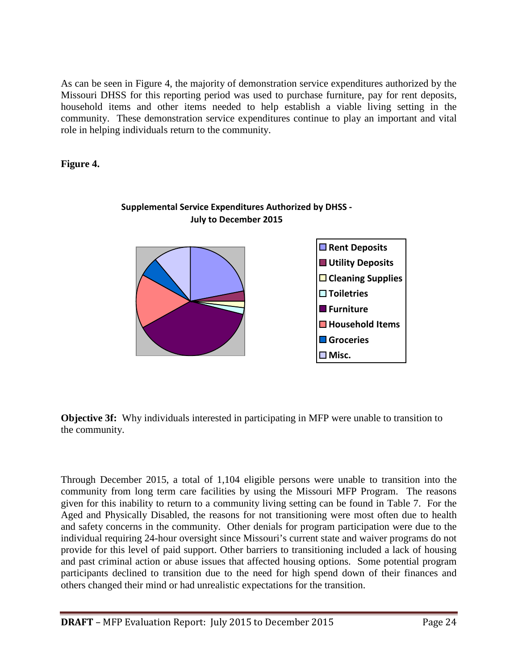As can be seen in Figure 4, the majority of demonstration service expenditures authorized by the Missouri DHSS for this reporting period was used to purchase furniture, pay for rent deposits, household items and other items needed to help establish a viable living setting in the community. These demonstration service expenditures continue to play an important and vital role in helping individuals return to the community.

#### **Figure 4.**



#### **Supplemental Service Expenditures Authorized by DHSS - July to December 2015**

**Objective 3f:** Why individuals interested in participating in MFP were unable to transition to the community.

Through December 2015, a total of 1,104 eligible persons were unable to transition into the community from long term care facilities by using the Missouri MFP Program. The reasons given for this inability to return to a community living setting can be found in Table 7. For the Aged and Physically Disabled, the reasons for not transitioning were most often due to health and safety concerns in the community. Other denials for program participation were due to the individual requiring 24-hour oversight since Missouri's current state and waiver programs do not provide for this level of paid support. Other barriers to transitioning included a lack of housing and past criminal action or abuse issues that affected housing options. Some potential program participants declined to transition due to the need for high spend down of their finances and others changed their mind or had unrealistic expectations for the transition.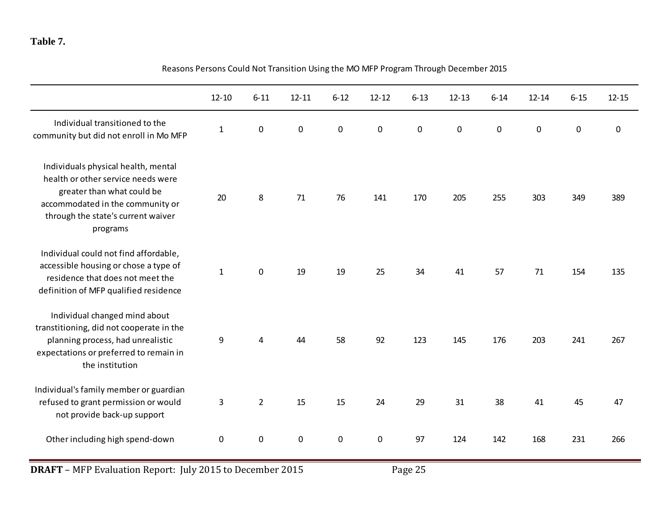#### **Table 7.**

|                                                                                                                                                                                               | $12 - 10$    | $6 - 11$       | $12 - 11$        | $6 - 12$  | $12 - 12$ | $6 - 13$    | $12 - 13$   | $6 - 14$    | $12 - 14$   | $6 - 15$  | $12 - 15$   |
|-----------------------------------------------------------------------------------------------------------------------------------------------------------------------------------------------|--------------|----------------|------------------|-----------|-----------|-------------|-------------|-------------|-------------|-----------|-------------|
| Individual transitioned to the<br>community but did not enroll in Mo MFP                                                                                                                      | $\mathbf 1$  | $\pmb{0}$      | $\mathbf 0$      | $\pmb{0}$ | 0         | $\mathbf 0$ | $\mathbf 0$ | $\mathbf 0$ | $\mathbf 0$ | $\pmb{0}$ | $\mathbf 0$ |
| Individuals physical health, mental<br>health or other service needs were<br>greater than what could be<br>accommodated in the community or<br>through the state's current waiver<br>programs | 20           | 8              | $71\,$           | 76        | 141       | 170         | 205         | 255         | 303         | 349       | 389         |
| Individual could not find affordable,<br>accessible housing or chose a type of<br>residence that does not meet the<br>definition of MFP qualified residence                                   | $\mathbf{1}$ | $\pmb{0}$      | 19               | 19        | 25        | 34          | 41          | 57          | 71          | 154       | 135         |
| Individual changed mind about<br>transtitioning, did not cooperate in the<br>planning process, had unrealistic<br>expectations or preferred to remain in<br>the institution                   | 9            | 4              | 44               | 58        | 92        | 123         | 145         | 176         | 203         | 241       | 267         |
| Individual's family member or guardian<br>refused to grant permission or would<br>not provide back-up support                                                                                 | 3            | $\overline{2}$ | 15               | 15        | 24        | 29          | 31          | 38          | 41          | 45        | 47          |
| Other including high spend-down                                                                                                                                                               | $\pmb{0}$    | $\pmb{0}$      | $\boldsymbol{0}$ | $\pmb{0}$ | $\pmb{0}$ | 97          | 124         | 142         | 168         | 231       | 266         |

Reasons Persons Could Not Transition Using the MO MFP Program Through December 2015

**DRAFT** – MFP Evaluation Report: July 2015 to December 2015 Page 25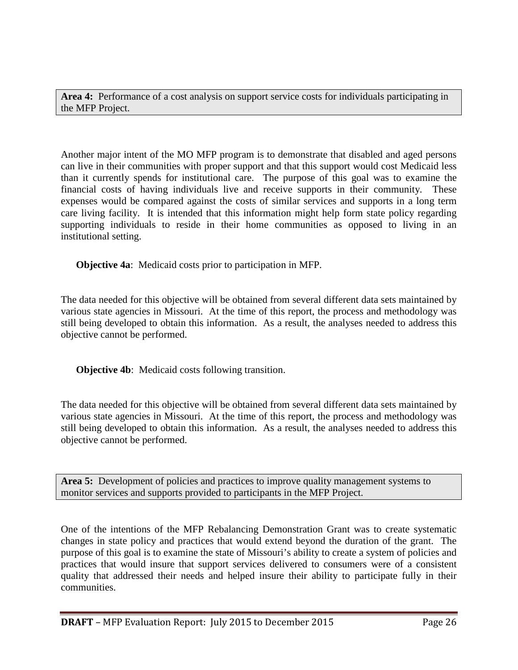**Area 4:** Performance of a cost analysis on support service costs for individuals participating in the MFP Project.

Another major intent of the MO MFP program is to demonstrate that disabled and aged persons can live in their communities with proper support and that this support would cost Medicaid less than it currently spends for institutional care. The purpose of this goal was to examine the financial costs of having individuals live and receive supports in their community. These expenses would be compared against the costs of similar services and supports in a long term care living facility. It is intended that this information might help form state policy regarding supporting individuals to reside in their home communities as opposed to living in an institutional setting.

**Objective 4a**: Medicaid costs prior to participation in MFP.

The data needed for this objective will be obtained from several different data sets maintained by various state agencies in Missouri. At the time of this report, the process and methodology was still being developed to obtain this information. As a result, the analyses needed to address this objective cannot be performed.

**Objective 4b**: Medicaid costs following transition.

The data needed for this objective will be obtained from several different data sets maintained by various state agencies in Missouri. At the time of this report, the process and methodology was still being developed to obtain this information. As a result, the analyses needed to address this objective cannot be performed.

**Area 5:** Development of policies and practices to improve quality management systems to monitor services and supports provided to participants in the MFP Project.

One of the intentions of the MFP Rebalancing Demonstration Grant was to create systematic changes in state policy and practices that would extend beyond the duration of the grant. The purpose of this goal is to examine the state of Missouri's ability to create a system of policies and practices that would insure that support services delivered to consumers were of a consistent quality that addressed their needs and helped insure their ability to participate fully in their communities.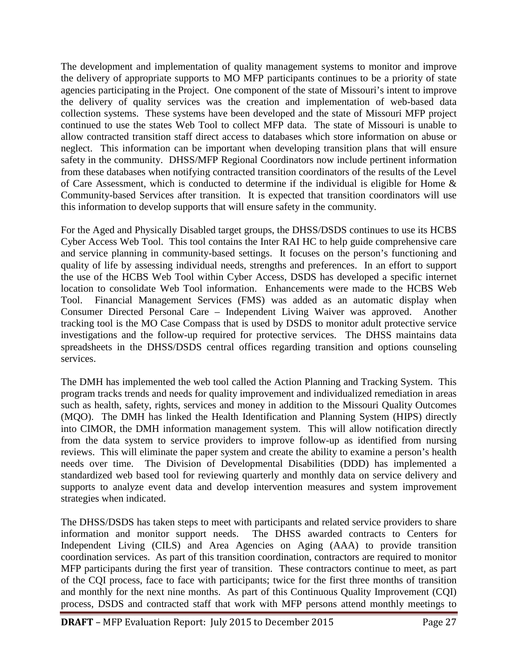The development and implementation of quality management systems to monitor and improve the delivery of appropriate supports to MO MFP participants continues to be a priority of state agencies participating in the Project. One component of the state of Missouri's intent to improve the delivery of quality services was the creation and implementation of web-based data collection systems. These systems have been developed and the state of Missouri MFP project continued to use the states Web Tool to collect MFP data. The state of Missouri is unable to allow contracted transition staff direct access to databases which store information on abuse or neglect. This information can be important when developing transition plans that will ensure safety in the community. DHSS/MFP Regional Coordinators now include pertinent information from these databases when notifying contracted transition coordinators of the results of the Level of Care Assessment, which is conducted to determine if the individual is eligible for Home & Community-based Services after transition. It is expected that transition coordinators will use this information to develop supports that will ensure safety in the community.

For the Aged and Physically Disabled target groups, the DHSS/DSDS continues to use its HCBS Cyber Access Web Tool. This tool contains the Inter RAI HC to help guide comprehensive care and service planning in community-based settings. It focuses on the person's functioning and quality of life by assessing individual needs, strengths and preferences. In an effort to support the use of the HCBS Web Tool within Cyber Access, DSDS has developed a specific internet location to consolidate Web Tool information. Enhancements were made to the HCBS Web Tool. Financial Management Services (FMS) was added as an automatic display when Consumer Directed Personal Care – Independent Living Waiver was approved. Another tracking tool is the MO Case Compass that is used by DSDS to monitor adult protective service investigations and the follow-up required for protective services. The DHSS maintains data spreadsheets in the DHSS/DSDS central offices regarding transition and options counseling services.

The DMH has implemented the web tool called the Action Planning and Tracking System. This program tracks trends and needs for quality improvement and individualized remediation in areas such as health, safety, rights, services and money in addition to the Missouri Quality Outcomes (MQO). The DMH has linked the Health Identification and Planning System (HIPS) directly into CIMOR, the DMH information management system. This will allow notification directly from the data system to service providers to improve follow-up as identified from nursing reviews. This will eliminate the paper system and create the ability to examine a person's health needs over time. The Division of Developmental Disabilities (DDD) has implemented a standardized web based tool for reviewing quarterly and monthly data on service delivery and supports to analyze event data and develop intervention measures and system improvement strategies when indicated.

The DHSS/DSDS has taken steps to meet with participants and related service providers to share information and monitor support needs. The DHSS awarded contracts to Centers for Independent Living (CILS) and Area Agencies on Aging (AAA) to provide transition coordination services. As part of this transition coordination, contractors are required to monitor MFP participants during the first year of transition. These contractors continue to meet, as part of the CQI process, face to face with participants; twice for the first three months of transition and monthly for the next nine months. As part of this Continuous Quality Improvement (CQI) process, DSDS and contracted staff that work with MFP persons attend monthly meetings to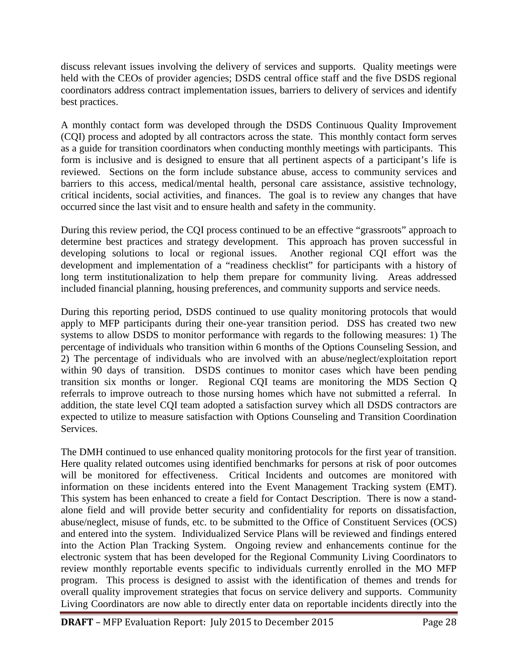discuss relevant issues involving the delivery of services and supports. Quality meetings were held with the CEOs of provider agencies; DSDS central office staff and the five DSDS regional coordinators address contract implementation issues, barriers to delivery of services and identify best practices.

A monthly contact form was developed through the DSDS Continuous Quality Improvement (CQI) process and adopted by all contractors across the state. This monthly contact form serves as a guide for transition coordinators when conducting monthly meetings with participants. This form is inclusive and is designed to ensure that all pertinent aspects of a participant's life is reviewed. Sections on the form include substance abuse, access to community services and barriers to this access, medical/mental health, personal care assistance, assistive technology, critical incidents, social activities, and finances. The goal is to review any changes that have occurred since the last visit and to ensure health and safety in the community.

During this review period, the CQI process continued to be an effective "grassroots" approach to determine best practices and strategy development. This approach has proven successful in developing solutions to local or regional issues. Another regional CQI effort was the development and implementation of a "readiness checklist" for participants with a history of long term institutionalization to help them prepare for community living. Areas addressed included financial planning, housing preferences, and community supports and service needs.

During this reporting period, DSDS continued to use quality monitoring protocols that would apply to MFP participants during their one-year transition period. DSS has created two new systems to allow DSDS to monitor performance with regards to the following measures: 1) The percentage of individuals who transition within 6 months of the Options Counseling Session, and 2) The percentage of individuals who are involved with an abuse/neglect/exploitation report within 90 days of transition. DSDS continues to monitor cases which have been pending transition six months or longer. Regional CQI teams are monitoring the MDS Section Q referrals to improve outreach to those nursing homes which have not submitted a referral. In addition, the state level CQI team adopted a satisfaction survey which all DSDS contractors are expected to utilize to measure satisfaction with Options Counseling and Transition Coordination Services.

The DMH continued to use enhanced quality monitoring protocols for the first year of transition. Here quality related outcomes using identified benchmarks for persons at risk of poor outcomes will be monitored for effectiveness. Critical Incidents and outcomes are monitored with information on these incidents entered into the Event Management Tracking system (EMT). This system has been enhanced to create a field for Contact Description. There is now a standalone field and will provide better security and confidentiality for reports on dissatisfaction, abuse/neglect, misuse of funds, etc. to be submitted to the Office of Constituent Services (OCS) and entered into the system. Individualized Service Plans will be reviewed and findings entered into the Action Plan Tracking System. Ongoing review and enhancements continue for the electronic system that has been developed for the Regional Community Living Coordinators to review monthly reportable events specific to individuals currently enrolled in the MO MFP program. This process is designed to assist with the identification of themes and trends for overall quality improvement strategies that focus on service delivery and supports. Community Living Coordinators are now able to directly enter data on reportable incidents directly into the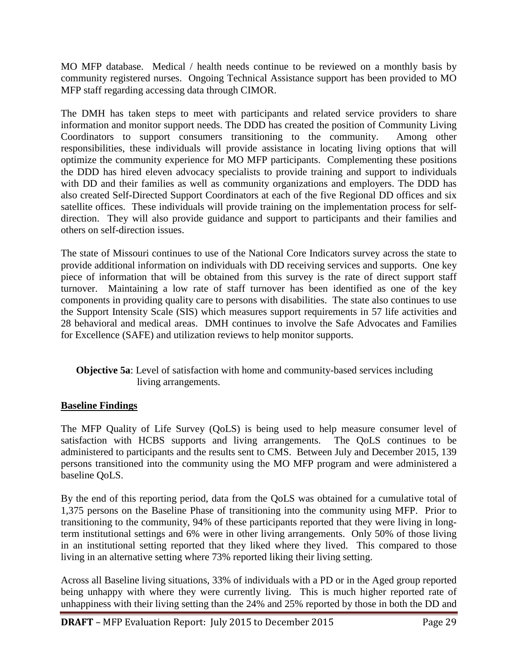MO MFP database. Medical / health needs continue to be reviewed on a monthly basis by community registered nurses. Ongoing Technical Assistance support has been provided to MO MFP staff regarding accessing data through CIMOR.

The DMH has taken steps to meet with participants and related service providers to share information and monitor support needs. The DDD has created the position of Community Living Coordinators to support consumers transitioning to the community. Among other responsibilities, these individuals will provide assistance in locating living options that will optimize the community experience for MO MFP participants. Complementing these positions the DDD has hired eleven advocacy specialists to provide training and support to individuals with DD and their families as well as community organizations and employers. The DDD has also created Self-Directed Support Coordinators at each of the five Regional DD offices and six satellite offices. These individuals will provide training on the implementation process for selfdirection. They will also provide guidance and support to participants and their families and others on self-direction issues.

The state of Missouri continues to use of the National Core Indicators survey across the state to provide additional information on individuals with DD receiving services and supports. One key piece of information that will be obtained from this survey is the rate of direct support staff turnover. Maintaining a low rate of staff turnover has been identified as one of the key components in providing quality care to persons with disabilities. The state also continues to use the Support Intensity Scale (SIS) which measures support requirements in 57 life activities and 28 behavioral and medical areas. DMH continues to involve the Safe Advocates and Families for Excellence (SAFE) and utilization reviews to help monitor supports.

#### **Objective 5a**: Level of satisfaction with home and community-based services including living arrangements.

#### **Baseline Findings**

The MFP Quality of Life Survey (QoLS) is being used to help measure consumer level of satisfaction with HCBS supports and living arrangements. The QoLS continues to be administered to participants and the results sent to CMS. Between July and December 2015, 139 persons transitioned into the community using the MO MFP program and were administered a baseline QoLS.

By the end of this reporting period, data from the QoLS was obtained for a cumulative total of 1,375 persons on the Baseline Phase of transitioning into the community using MFP. Prior to transitioning to the community, 94% of these participants reported that they were living in longterm institutional settings and 6% were in other living arrangements. Only 50% of those living in an institutional setting reported that they liked where they lived. This compared to those living in an alternative setting where 73% reported liking their living setting.

Across all Baseline living situations, 33% of individuals with a PD or in the Aged group reported being unhappy with where they were currently living. This is much higher reported rate of unhappiness with their living setting than the 24% and 25% reported by those in both the DD and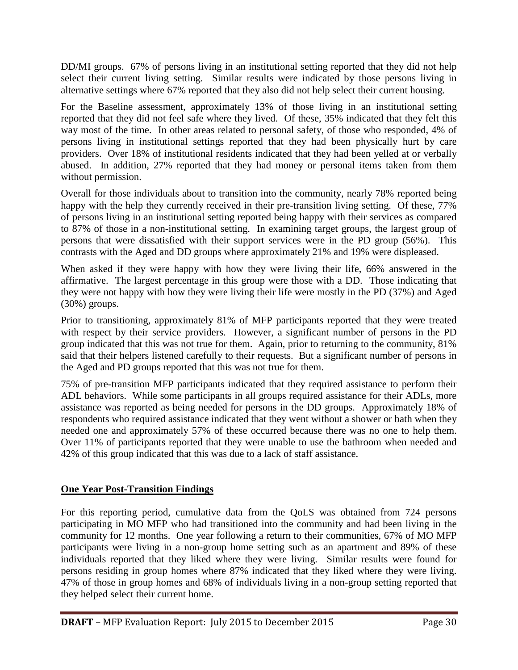DD/MI groups. 67% of persons living in an institutional setting reported that they did not help select their current living setting. Similar results were indicated by those persons living in alternative settings where 67% reported that they also did not help select their current housing.

For the Baseline assessment, approximately 13% of those living in an institutional setting reported that they did not feel safe where they lived. Of these, 35% indicated that they felt this way most of the time. In other areas related to personal safety, of those who responded, 4% of persons living in institutional settings reported that they had been physically hurt by care providers. Over 18% of institutional residents indicated that they had been yelled at or verbally abused. In addition, 27% reported that they had money or personal items taken from them without permission.

Overall for those individuals about to transition into the community, nearly 78% reported being happy with the help they currently received in their pre-transition living setting. Of these, 77% of persons living in an institutional setting reported being happy with their services as compared to 87% of those in a non-institutional setting. In examining target groups, the largest group of persons that were dissatisfied with their support services were in the PD group (56%). This contrasts with the Aged and DD groups where approximately 21% and 19% were displeased.

When asked if they were happy with how they were living their life, 66% answered in the affirmative. The largest percentage in this group were those with a DD. Those indicating that they were not happy with how they were living their life were mostly in the PD (37%) and Aged (30%) groups.

Prior to transitioning, approximately 81% of MFP participants reported that they were treated with respect by their service providers. However, a significant number of persons in the PD group indicated that this was not true for them. Again, prior to returning to the community, 81% said that their helpers listened carefully to their requests. But a significant number of persons in the Aged and PD groups reported that this was not true for them.

75% of pre-transition MFP participants indicated that they required assistance to perform their ADL behaviors. While some participants in all groups required assistance for their ADLs, more assistance was reported as being needed for persons in the DD groups. Approximately 18% of respondents who required assistance indicated that they went without a shower or bath when they needed one and approximately 57% of these occurred because there was no one to help them. Over 11% of participants reported that they were unable to use the bathroom when needed and 42% of this group indicated that this was due to a lack of staff assistance.

#### **One Year Post-Transition Findings**

For this reporting period, cumulative data from the QoLS was obtained from 724 persons participating in MO MFP who had transitioned into the community and had been living in the community for 12 months. One year following a return to their communities, 67% of MO MFP participants were living in a non-group home setting such as an apartment and 89% of these individuals reported that they liked where they were living. Similar results were found for persons residing in group homes where 87% indicated that they liked where they were living. 47% of those in group homes and 68% of individuals living in a non-group setting reported that they helped select their current home.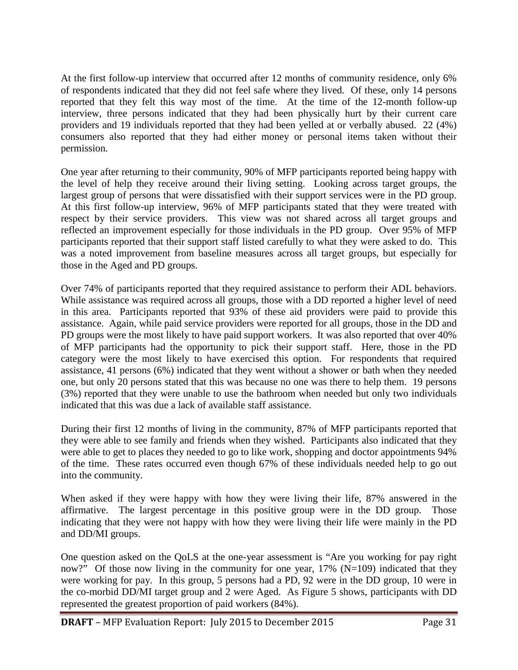At the first follow-up interview that occurred after 12 months of community residence, only 6% of respondents indicated that they did not feel safe where they lived. Of these, only 14 persons reported that they felt this way most of the time. At the time of the 12-month follow-up interview, three persons indicated that they had been physically hurt by their current care providers and 19 individuals reported that they had been yelled at or verbally abused. 22 (4%) consumers also reported that they had either money or personal items taken without their permission.

One year after returning to their community, 90% of MFP participants reported being happy with the level of help they receive around their living setting. Looking across target groups, the largest group of persons that were dissatisfied with their support services were in the PD group. At this first follow-up interview, 96% of MFP participants stated that they were treated with respect by their service providers. This view was not shared across all target groups and reflected an improvement especially for those individuals in the PD group. Over 95% of MFP participants reported that their support staff listed carefully to what they were asked to do. This was a noted improvement from baseline measures across all target groups, but especially for those in the Aged and PD groups.

Over 74% of participants reported that they required assistance to perform their ADL behaviors. While assistance was required across all groups, those with a DD reported a higher level of need in this area. Participants reported that 93% of these aid providers were paid to provide this assistance. Again, while paid service providers were reported for all groups, those in the DD and PD groups were the most likely to have paid support workers. It was also reported that over 40% of MFP participants had the opportunity to pick their support staff. Here, those in the PD category were the most likely to have exercised this option. For respondents that required assistance, 41 persons (6%) indicated that they went without a shower or bath when they needed one, but only 20 persons stated that this was because no one was there to help them. 19 persons (3%) reported that they were unable to use the bathroom when needed but only two individuals indicated that this was due a lack of available staff assistance.

During their first 12 months of living in the community, 87% of MFP participants reported that they were able to see family and friends when they wished. Participants also indicated that they were able to get to places they needed to go to like work, shopping and doctor appointments 94% of the time. These rates occurred even though 67% of these individuals needed help to go out into the community.

When asked if they were happy with how they were living their life, 87% answered in the affirmative. The largest percentage in this positive group were in the DD group. Those indicating that they were not happy with how they were living their life were mainly in the PD and DD/MI groups.

One question asked on the QoLS at the one-year assessment is "Are you working for pay right now?" Of those now living in the community for one year,  $17\%$  (N=109) indicated that they were working for pay. In this group, 5 persons had a PD, 92 were in the DD group, 10 were in the co-morbid DD/MI target group and 2 were Aged. As Figure 5 shows, participants with DD represented the greatest proportion of paid workers (84%).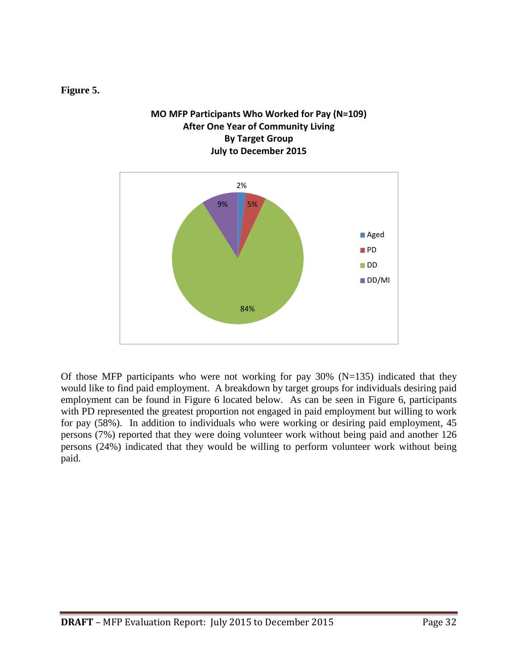#### **Figure 5.**

#### **MO MFP Participants Who Worked for Pay (N=109) After One Year of Community Living By Target Group July to December 2015**



Of those MFP participants who were not working for pay  $30\%$  (N=135) indicated that they would like to find paid employment. A breakdown by target groups for individuals desiring paid employment can be found in Figure 6 located below. As can be seen in Figure 6, participants with PD represented the greatest proportion not engaged in paid employment but willing to work for pay (58%). In addition to individuals who were working or desiring paid employment, 45 persons (7%) reported that they were doing volunteer work without being paid and another 126 persons (24%) indicated that they would be willing to perform volunteer work without being paid.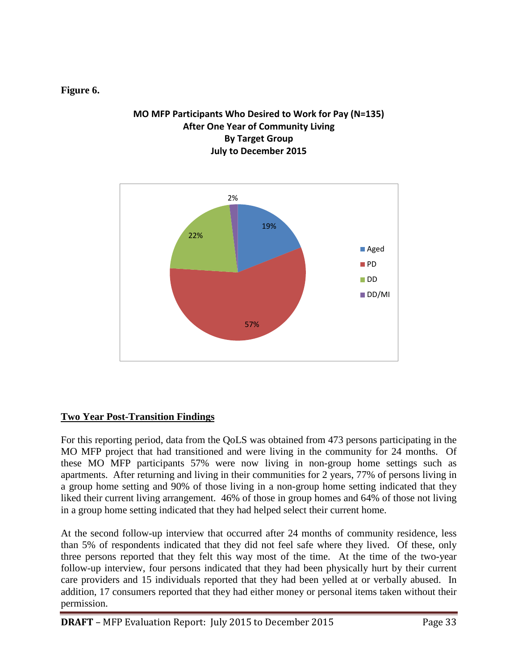#### **Figure 6.**

#### **MO MFP Participants Who Desired to Work for Pay (N=135) After One Year of Community Living By Target Group July to December 2015**



#### **Two Year Post-Transition Findings**

For this reporting period, data from the QoLS was obtained from 473 persons participating in the MO MFP project that had transitioned and were living in the community for 24 months. Of these MO MFP participants 57% were now living in non-group home settings such as apartments. After returning and living in their communities for 2 years, 77% of persons living in a group home setting and 90% of those living in a non-group home setting indicated that they liked their current living arrangement. 46% of those in group homes and 64% of those not living in a group home setting indicated that they had helped select their current home.

At the second follow-up interview that occurred after 24 months of community residence, less than 5% of respondents indicated that they did not feel safe where they lived. Of these, only three persons reported that they felt this way most of the time. At the time of the two-year follow-up interview, four persons indicated that they had been physically hurt by their current care providers and 15 individuals reported that they had been yelled at or verbally abused. In addition, 17 consumers reported that they had either money or personal items taken without their permission.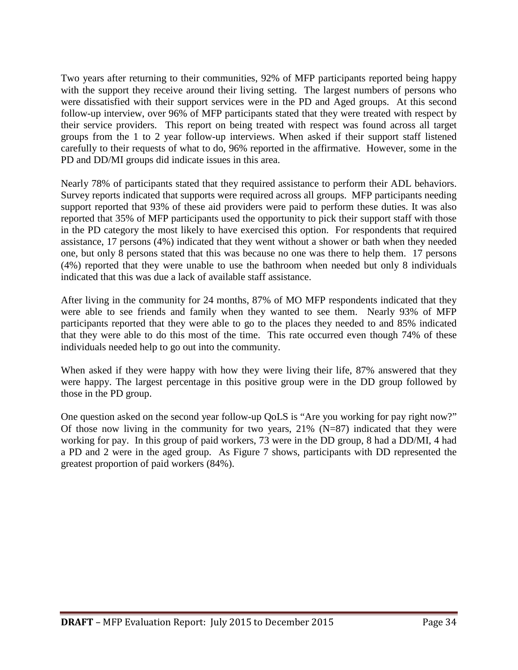Two years after returning to their communities, 92% of MFP participants reported being happy with the support they receive around their living setting. The largest numbers of persons who were dissatisfied with their support services were in the PD and Aged groups. At this second follow-up interview, over 96% of MFP participants stated that they were treated with respect by their service providers. This report on being treated with respect was found across all target groups from the 1 to 2 year follow-up interviews. When asked if their support staff listened carefully to their requests of what to do, 96% reported in the affirmative. However, some in the PD and DD/MI groups did indicate issues in this area.

Nearly 78% of participants stated that they required assistance to perform their ADL behaviors. Survey reports indicated that supports were required across all groups. MFP participants needing support reported that 93% of these aid providers were paid to perform these duties. It was also reported that 35% of MFP participants used the opportunity to pick their support staff with those in the PD category the most likely to have exercised this option. For respondents that required assistance, 17 persons (4%) indicated that they went without a shower or bath when they needed one, but only 8 persons stated that this was because no one was there to help them. 17 persons (4%) reported that they were unable to use the bathroom when needed but only 8 individuals indicated that this was due a lack of available staff assistance.

After living in the community for 24 months, 87% of MO MFP respondents indicated that they were able to see friends and family when they wanted to see them. Nearly 93% of MFP participants reported that they were able to go to the places they needed to and 85% indicated that they were able to do this most of the time. This rate occurred even though 74% of these individuals needed help to go out into the community.

When asked if they were happy with how they were living their life, 87% answered that they were happy. The largest percentage in this positive group were in the DD group followed by those in the PD group.

One question asked on the second year follow-up QoLS is "Are you working for pay right now?" Of those now living in the community for two years,  $21\%$  (N=87) indicated that they were working for pay. In this group of paid workers, 73 were in the DD group, 8 had a DD/MI, 4 had a PD and 2 were in the aged group. As Figure 7 shows, participants with DD represented the greatest proportion of paid workers (84%).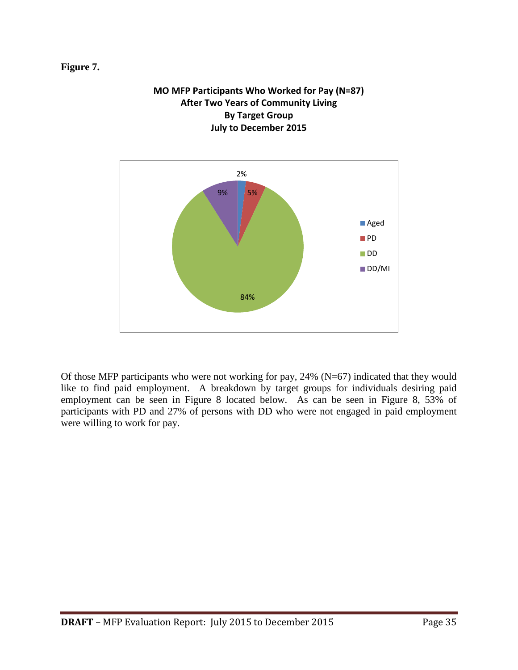#### **Figure 7.**



# **MO MFP Participants Who Worked for Pay (N=87)**

Of those MFP participants who were not working for pay, 24% (N=67) indicated that they would like to find paid employment. A breakdown by target groups for individuals desiring paid employment can be seen in Figure 8 located below. As can be seen in Figure 8, 53% of participants with PD and 27% of persons with DD who were not engaged in paid employment were willing to work for pay.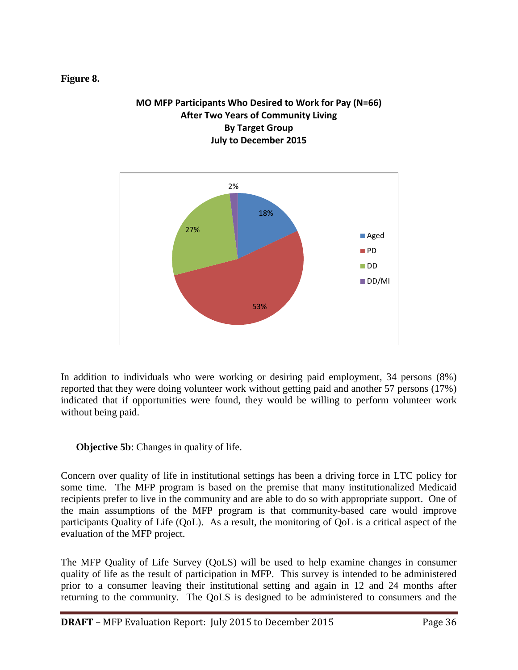#### **Figure 8.**

#### **MO MFP Participants Who Desired to Work for Pay (N=66) After Two Years of Community Living By Target Group July to December 2015**



In addition to individuals who were working or desiring paid employment, 34 persons (8%) reported that they were doing volunteer work without getting paid and another 57 persons (17%) indicated that if opportunities were found, they would be willing to perform volunteer work without being paid.

**Objective 5b:** Changes in quality of life.

Concern over quality of life in institutional settings has been a driving force in LTC policy for some time. The MFP program is based on the premise that many institutionalized Medicaid recipients prefer to live in the community and are able to do so with appropriate support. One of the main assumptions of the MFP program is that community-based care would improve participants Quality of Life (QoL). As a result, the monitoring of QoL is a critical aspect of the evaluation of the MFP project.

The MFP Quality of Life Survey (QoLS) will be used to help examine changes in consumer quality of life as the result of participation in MFP. This survey is intended to be administered prior to a consumer leaving their institutional setting and again in 12 and 24 months after returning to the community. The QoLS is designed to be administered to consumers and the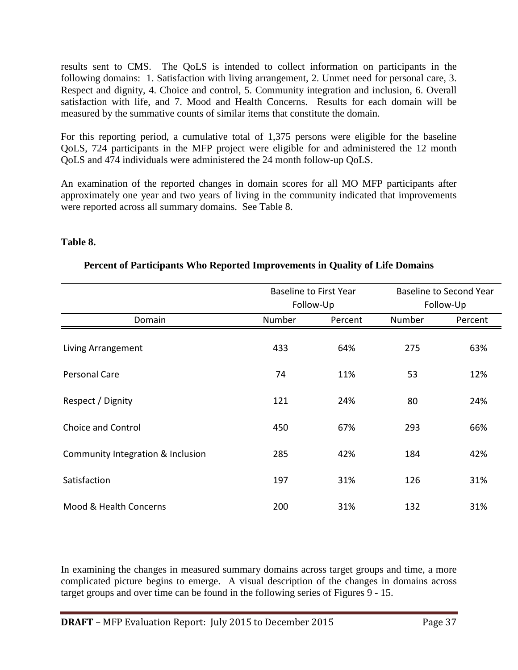results sent to CMS. The QoLS is intended to collect information on participants in the following domains: 1. Satisfaction with living arrangement, 2. Unmet need for personal care, 3. Respect and dignity, 4. Choice and control, 5. Community integration and inclusion, 6. Overall satisfaction with life, and 7. Mood and Health Concerns. Results for each domain will be measured by the summative counts of similar items that constitute the domain.

For this reporting period, a cumulative total of 1,375 persons were eligible for the baseline QoLS, 724 participants in the MFP project were eligible for and administered the 12 month QoLS and 474 individuals were administered the 24 month follow-up QoLS.

An examination of the reported changes in domain scores for all MO MFP participants after approximately one year and two years of living in the community indicated that improvements were reported across all summary domains. See Table 8.

#### **Table 8.**

|                                   |        | <b>Baseline to First Year</b> |        | <b>Baseline to Second Year</b> |
|-----------------------------------|--------|-------------------------------|--------|--------------------------------|
|                                   |        | Follow-Up                     |        | Follow-Up                      |
| Domain                            | Number | Percent                       | Number | Percent                        |
| Living Arrangement                | 433    | 64%                           | 275    | 63%                            |
| <b>Personal Care</b>              | 74     | 11%                           | 53     | 12%                            |
| Respect / Dignity                 | 121    | 24%                           | 80     | 24%                            |
| <b>Choice and Control</b>         | 450    | 67%                           | 293    | 66%                            |
| Community Integration & Inclusion | 285    | 42%                           | 184    | 42%                            |
| Satisfaction                      | 197    | 31%                           | 126    | 31%                            |
| Mood & Health Concerns            | 200    | 31%                           | 132    | 31%                            |

#### **Percent of Participants Who Reported Improvements in Quality of Life Domains**

In examining the changes in measured summary domains across target groups and time, a more complicated picture begins to emerge. A visual description of the changes in domains across target groups and over time can be found in the following series of Figures 9 - 15.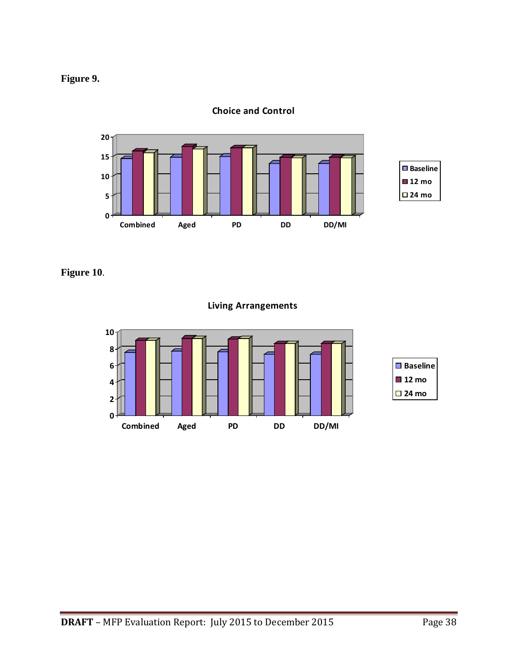



**Choice and Control**

**Figure 10**.

**Living Arrangements**

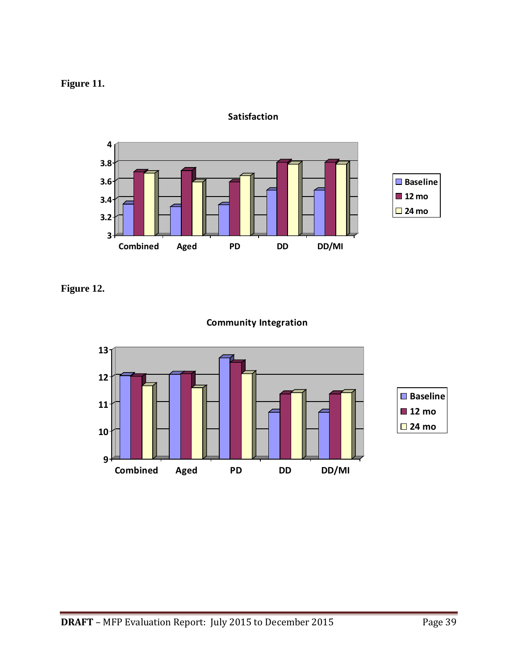## **Figure 11.**



**Satisfaction**

## **Figure 12.**



#### **Community Integration**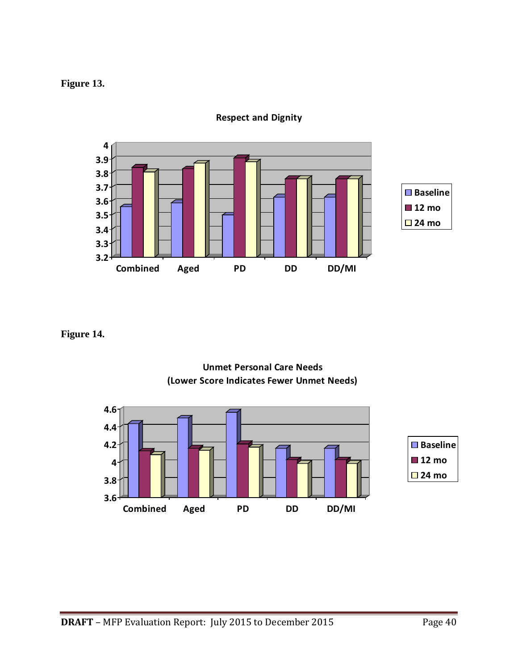#### **Figure 13.**



**Respect and Dignity**

**Figure 14.**



**Unmet Personal Care Needs (Lower Score Indicates Fewer Unmet Needs)**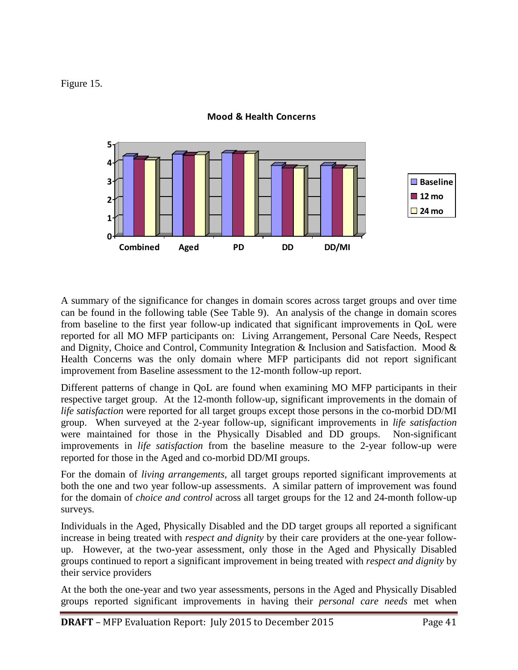Figure 15.



**Mood & Health Concerns**

A summary of the significance for changes in domain scores across target groups and over time can be found in the following table (See Table 9). An analysis of the change in domain scores from baseline to the first year follow-up indicated that significant improvements in QoL were reported for all MO MFP participants on: Living Arrangement, Personal Care Needs, Respect and Dignity, Choice and Control, Community Integration & Inclusion and Satisfaction. Mood  $\&$ Health Concerns was the only domain where MFP participants did not report significant improvement from Baseline assessment to the 12-month follow-up report.

Different patterns of change in QoL are found when examining MO MFP participants in their respective target group. At the 12-month follow-up, significant improvements in the domain of *life satisfaction* were reported for all target groups except those persons in the co-morbid DD/MI group. When surveyed at the 2-year follow-up, significant improvements in *life satisfaction* were maintained for those in the Physically Disabled and DD groups. Non-significant improvements in *life satisfaction* from the baseline measure to the 2-year follow-up were reported for those in the Aged and co-morbid DD/MI groups.

For the domain of *living arrangements*, all target groups reported significant improvements at both the one and two year follow-up assessments. A similar pattern of improvement was found for the domain of *choice and control* across all target groups for the 12 and 24-month follow-up surveys.

Individuals in the Aged, Physically Disabled and the DD target groups all reported a significant increase in being treated with *respect and dignity* by their care providers at the one-year followup. However, at the two-year assessment, only those in the Aged and Physically Disabled groups continued to report a significant improvement in being treated with *respect and dignity* by their service providers

At the both the one-year and two year assessments, persons in the Aged and Physically Disabled groups reported significant improvements in having their *personal care needs* met when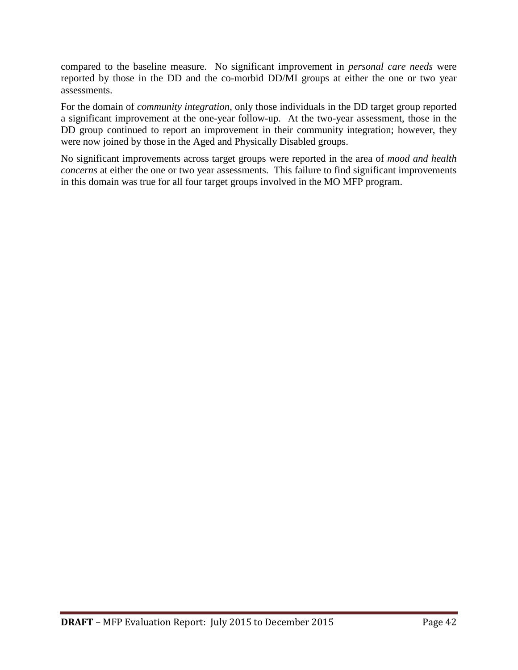compared to the baseline measure. No significant improvement in *personal care needs* were reported by those in the DD and the co-morbid DD/MI groups at either the one or two year assessments.

For the domain of *community integration*, only those individuals in the DD target group reported a significant improvement at the one-year follow-up. At the two-year assessment, those in the DD group continued to report an improvement in their community integration; however, they were now joined by those in the Aged and Physically Disabled groups.

No significant improvements across target groups were reported in the area of *mood and health concerns* at either the one or two year assessments. This failure to find significant improvements in this domain was true for all four target groups involved in the MO MFP program.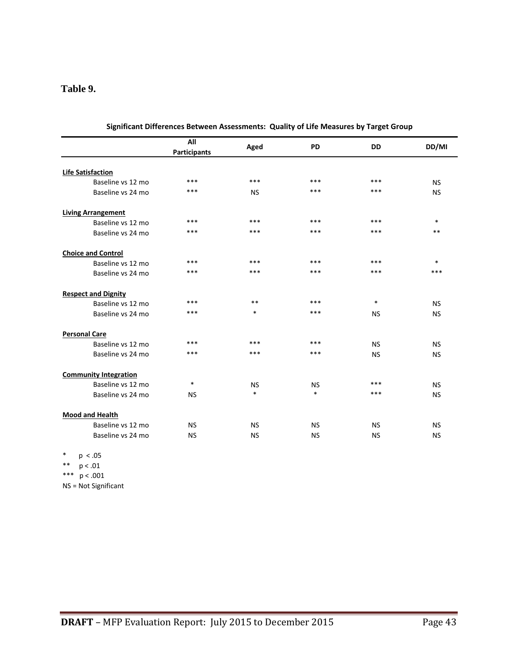#### **Table 9.**

|                              | All<br><b>Participants</b> | Aged      | <b>PD</b> | <b>DD</b> | DD/MI     |
|------------------------------|----------------------------|-----------|-----------|-----------|-----------|
|                              |                            |           |           |           |           |
| <b>Life Satisfaction</b>     |                            |           |           |           |           |
| Baseline vs 12 mo            | ***                        | ***       | ***       | ***       | <b>NS</b> |
| Baseline vs 24 mo            | ***                        | <b>NS</b> | ***       | ***       | <b>NS</b> |
| <b>Living Arrangement</b>    |                            |           |           |           |           |
| Baseline vs 12 mo            | $***$                      | ***       | ***       | ***       | $\ast$    |
| Baseline vs 24 mo            | ***                        | ***       | ***       | ***       | **        |
| <b>Choice and Control</b>    |                            |           |           |           |           |
| Baseline vs 12 mo            | ***                        | ***       | ***       | ***       | $\ast$    |
| Baseline vs 24 mo            | ***                        | ***       | ***       | ***       | ***       |
| <b>Respect and Dignity</b>   |                            |           |           |           |           |
| Baseline vs 12 mo            | ***                        | $***$     | ***       | $\ast$    | <b>NS</b> |
| Baseline vs 24 mo            | ***                        | $\ast$    | ***       | <b>NS</b> | <b>NS</b> |
| <b>Personal Care</b>         |                            |           |           |           |           |
| Baseline vs 12 mo            | ***                        | ***       | ***       | <b>NS</b> | <b>NS</b> |
| Baseline vs 24 mo            | ***                        | ***       | ***       | <b>NS</b> | <b>NS</b> |
| <b>Community Integration</b> |                            |           |           |           |           |
| Baseline vs 12 mo            | $\ast$                     | <b>NS</b> | <b>NS</b> | ***       | <b>NS</b> |
| Baseline vs 24 mo            | <b>NS</b>                  | $\ast$    | $\ast$    | ***       | <b>NS</b> |
| <b>Mood and Health</b>       |                            |           |           |           |           |
| Baseline vs 12 mo            | <b>NS</b>                  | <b>NS</b> | <b>NS</b> | <b>NS</b> | <b>NS</b> |
| Baseline vs 24 mo            | <b>NS</b>                  | <b>NS</b> | <b>NS</b> | <b>NS</b> | <b>NS</b> |
|                              |                            |           |           |           |           |

**Significant Differences Between Assessments: Quality of Life Measures by Target Group**

\* p < .05

\*\* p < .01

\*\*\*  $p < .001$ 

NS = Not Significant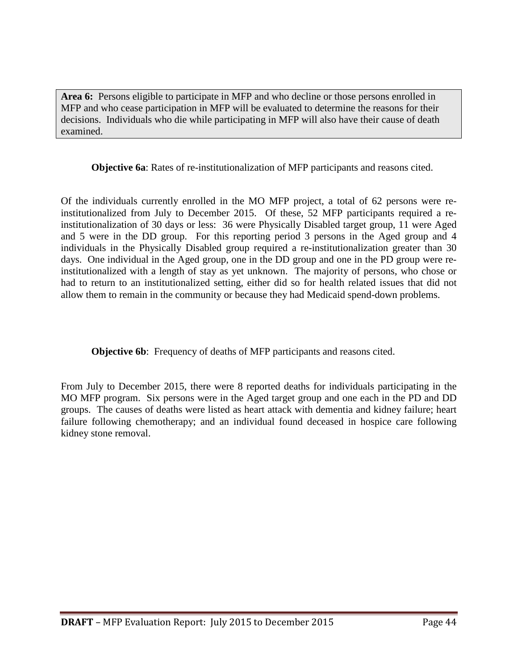**Area 6:** Persons eligible to participate in MFP and who decline or those persons enrolled in MFP and who cease participation in MFP will be evaluated to determine the reasons for their decisions. Individuals who die while participating in MFP will also have their cause of death examined.

**Objective 6a**: Rates of re-institutionalization of MFP participants and reasons cited.

Of the individuals currently enrolled in the MO MFP project, a total of 62 persons were reinstitutionalized from July to December 2015. Of these, 52 MFP participants required a reinstitutionalization of 30 days or less: 36 were Physically Disabled target group, 11 were Aged and 5 were in the DD group. For this reporting period 3 persons in the Aged group and 4 individuals in the Physically Disabled group required a re-institutionalization greater than 30 days. One individual in the Aged group, one in the DD group and one in the PD group were reinstitutionalized with a length of stay as yet unknown. The majority of persons, who chose or had to return to an institutionalized setting, either did so for health related issues that did not allow them to remain in the community or because they had Medicaid spend-down problems.

**Objective 6b:** Frequency of deaths of MFP participants and reasons cited.

From July to December 2015, there were 8 reported deaths for individuals participating in the MO MFP program. Six persons were in the Aged target group and one each in the PD and DD groups. The causes of deaths were listed as heart attack with dementia and kidney failure; heart failure following chemotherapy; and an individual found deceased in hospice care following kidney stone removal.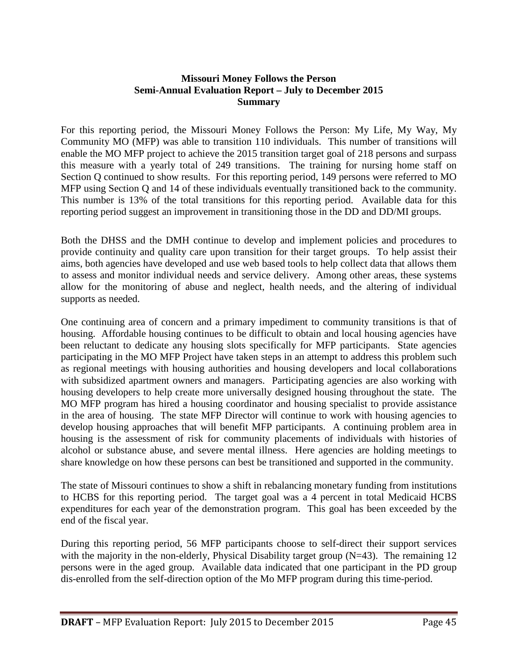#### **Missouri Money Follows the Person Semi-Annual Evaluation Report – July to December 2015 Summary**

For this reporting period, the Missouri Money Follows the Person: My Life, My Way, My Community MO (MFP) was able to transition 110 individuals. This number of transitions will enable the MO MFP project to achieve the 2015 transition target goal of 218 persons and surpass this measure with a yearly total of 249 transitions. The training for nursing home staff on Section Q continued to show results. For this reporting period, 149 persons were referred to MO MFP using Section Q and 14 of these individuals eventually transitioned back to the community. This number is 13% of the total transitions for this reporting period. Available data for this reporting period suggest an improvement in transitioning those in the DD and DD/MI groups.

Both the DHSS and the DMH continue to develop and implement policies and procedures to provide continuity and quality care upon transition for their target groups. To help assist their aims, both agencies have developed and use web based tools to help collect data that allows them to assess and monitor individual needs and service delivery. Among other areas, these systems allow for the monitoring of abuse and neglect, health needs, and the altering of individual supports as needed.

One continuing area of concern and a primary impediment to community transitions is that of housing. Affordable housing continues to be difficult to obtain and local housing agencies have been reluctant to dedicate any housing slots specifically for MFP participants. State agencies participating in the MO MFP Project have taken steps in an attempt to address this problem such as regional meetings with housing authorities and housing developers and local collaborations with subsidized apartment owners and managers. Participating agencies are also working with housing developers to help create more universally designed housing throughout the state. The MO MFP program has hired a housing coordinator and housing specialist to provide assistance in the area of housing. The state MFP Director will continue to work with housing agencies to develop housing approaches that will benefit MFP participants. A continuing problem area in housing is the assessment of risk for community placements of individuals with histories of alcohol or substance abuse, and severe mental illness. Here agencies are holding meetings to share knowledge on how these persons can best be transitioned and supported in the community.

The state of Missouri continues to show a shift in rebalancing monetary funding from institutions to HCBS for this reporting period. The target goal was a 4 percent in total Medicaid HCBS expenditures for each year of the demonstration program. This goal has been exceeded by the end of the fiscal year.

During this reporting period, 56 MFP participants choose to self-direct their support services with the majority in the non-elderly, Physical Disability target group (N=43). The remaining 12 persons were in the aged group. Available data indicated that one participant in the PD group dis-enrolled from the self-direction option of the Mo MFP program during this time-period.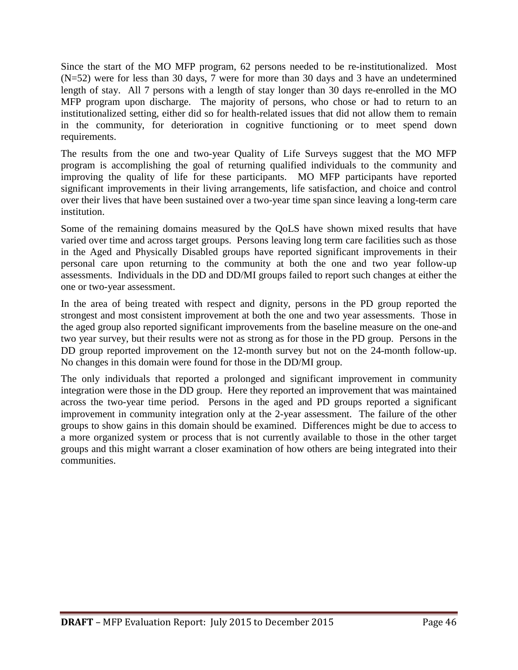Since the start of the MO MFP program, 62 persons needed to be re-institutionalized. Most (N=52) were for less than 30 days, 7 were for more than 30 days and 3 have an undetermined length of stay. All 7 persons with a length of stay longer than 30 days re-enrolled in the MO MFP program upon discharge. The majority of persons, who chose or had to return to an institutionalized setting, either did so for health-related issues that did not allow them to remain in the community, for deterioration in cognitive functioning or to meet spend down requirements.

The results from the one and two-year Quality of Life Surveys suggest that the MO MFP program is accomplishing the goal of returning qualified individuals to the community and improving the quality of life for these participants. MO MFP participants have reported significant improvements in their living arrangements, life satisfaction, and choice and control over their lives that have been sustained over a two-year time span since leaving a long-term care institution.

Some of the remaining domains measured by the QoLS have shown mixed results that have varied over time and across target groups. Persons leaving long term care facilities such as those in the Aged and Physically Disabled groups have reported significant improvements in their personal care upon returning to the community at both the one and two year follow-up assessments. Individuals in the DD and DD/MI groups failed to report such changes at either the one or two-year assessment.

In the area of being treated with respect and dignity, persons in the PD group reported the strongest and most consistent improvement at both the one and two year assessments. Those in the aged group also reported significant improvements from the baseline measure on the one-and two year survey, but their results were not as strong as for those in the PD group. Persons in the DD group reported improvement on the 12-month survey but not on the 24-month follow-up. No changes in this domain were found for those in the DD/MI group.

The only individuals that reported a prolonged and significant improvement in community integration were those in the DD group. Here they reported an improvement that was maintained across the two-year time period. Persons in the aged and PD groups reported a significant improvement in community integration only at the 2-year assessment. The failure of the other groups to show gains in this domain should be examined. Differences might be due to access to a more organized system or process that is not currently available to those in the other target groups and this might warrant a closer examination of how others are being integrated into their communities.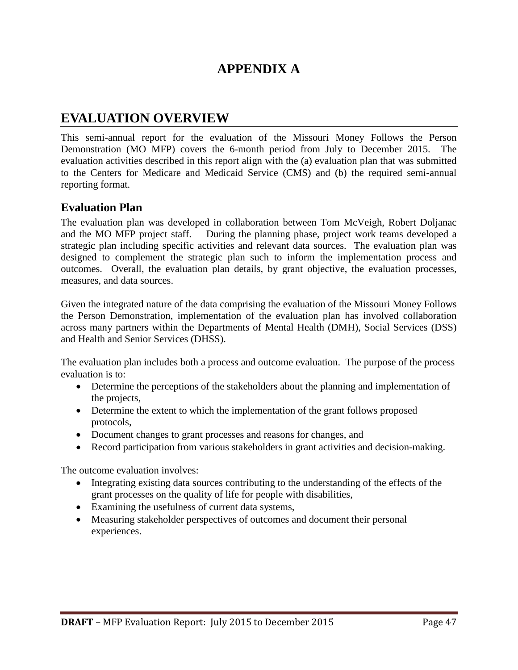## **APPENDIX A**

## **EVALUATION OVERVIEW**

This semi-annual report for the evaluation of the Missouri Money Follows the Person Demonstration (MO MFP) covers the 6-month period from July to December 2015. The evaluation activities described in this report align with the (a) evaluation plan that was submitted to the Centers for Medicare and Medicaid Service (CMS) and (b) the required semi-annual reporting format.

#### **Evaluation Plan**

The evaluation plan was developed in collaboration between Tom McVeigh, Robert Doljanac and the MO MFP project staff. During the planning phase, project work teams developed a strategic plan including specific activities and relevant data sources. The evaluation plan was designed to complement the strategic plan such to inform the implementation process and outcomes. Overall, the evaluation plan details, by grant objective, the evaluation processes, measures, and data sources.

Given the integrated nature of the data comprising the evaluation of the Missouri Money Follows the Person Demonstration, implementation of the evaluation plan has involved collaboration across many partners within the Departments of Mental Health (DMH), Social Services (DSS) and Health and Senior Services (DHSS).

The evaluation plan includes both a process and outcome evaluation. The purpose of the process evaluation is to:

- Determine the perceptions of the stakeholders about the planning and implementation of the projects,
- Determine the extent to which the implementation of the grant follows proposed protocols,
- Document changes to grant processes and reasons for changes, and
- Record participation from various stakeholders in grant activities and decision-making.

The outcome evaluation involves:

- Integrating existing data sources contributing to the understanding of the effects of the grant processes on the quality of life for people with disabilities,
- Examining the usefulness of current data systems,
- Measuring stakeholder perspectives of outcomes and document their personal experiences.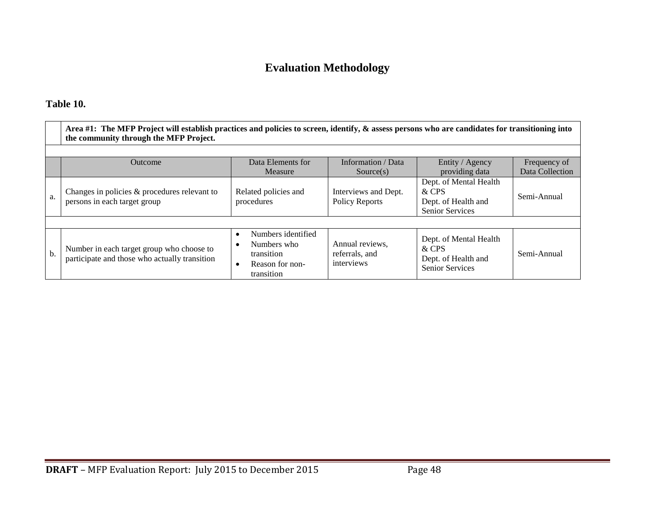## **Evaluation Methodology**

#### **Table 10.**

|     | Area #1: The MFP Project will establish practices and policies to screen, identify, & assess persons who are candidates for transitioning into<br>the community through the MFP Project. |                                                                                               |                                                 |                                                                                  |                 |  |  |  |  |
|-----|------------------------------------------------------------------------------------------------------------------------------------------------------------------------------------------|-----------------------------------------------------------------------------------------------|-------------------------------------------------|----------------------------------------------------------------------------------|-----------------|--|--|--|--|
|     | Data Elements for<br>Information / Data<br>Entity / Agency<br>Outcome<br>Frequency of                                                                                                    |                                                                                               |                                                 |                                                                                  |                 |  |  |  |  |
|     |                                                                                                                                                                                          | Measure                                                                                       | Source(s)                                       | providing data                                                                   | Data Collection |  |  |  |  |
| a.  | Changes in policies & procedures relevant to<br>persons in each target group                                                                                                             | Related policies and<br>procedures                                                            | Interviews and Dept.<br><b>Policy Reports</b>   | Dept. of Mental Health<br>& CPS<br>Dept. of Health and<br><b>Senior Services</b> | Semi-Annual     |  |  |  |  |
|     |                                                                                                                                                                                          |                                                                                               |                                                 |                                                                                  |                 |  |  |  |  |
| $b$ | Number in each target group who choose to<br>participate and those who actually transition                                                                                               | Numbers identified<br>$\bullet$<br>Numbers who<br>transition<br>Reason for non-<br>transition | Annual reviews,<br>referrals, and<br>interviews | Dept. of Mental Health<br>& CPS<br>Dept. of Health and<br><b>Senior Services</b> | Semi-Annual     |  |  |  |  |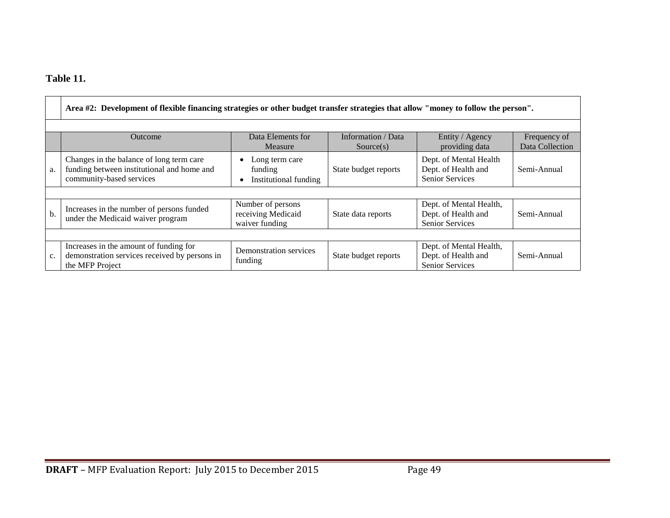## **Table 11.**

|     | Area #2: Development of flexible financing strategies or other budget transfer strategies that allow "money to follow the person". |                                                           |                                 |                                                                          |                                 |  |  |  |
|-----|------------------------------------------------------------------------------------------------------------------------------------|-----------------------------------------------------------|---------------------------------|--------------------------------------------------------------------------|---------------------------------|--|--|--|
|     | Outcome                                                                                                                            | Data Elements for<br>Measure                              | Information / Data<br>Source(s) | Entity / Agency<br>providing data                                        | Frequency of<br>Data Collection |  |  |  |
| a.  | Changes in the balance of long term care<br>funding between institutional and home and<br>community-based services                 | Long term care<br>funding<br>Institutional funding        | State budget reports            | Dept. of Mental Health<br>Dept. of Health and<br>Senior Services         | Semi-Annual                     |  |  |  |
|     |                                                                                                                                    |                                                           |                                 |                                                                          |                                 |  |  |  |
| $b$ | Increases in the number of persons funded<br>under the Medicaid waiver program                                                     | Number of persons<br>receiving Medicaid<br>waiver funding | State data reports              | Dept. of Mental Health,<br>Dept. of Health and<br>Senior Services        | Semi-Annual                     |  |  |  |
|     |                                                                                                                                    |                                                           |                                 |                                                                          |                                 |  |  |  |
| c.  | Increases in the amount of funding for<br>demonstration services received by persons in<br>the MFP Project                         | Demonstration services<br>funding                         | State budget reports            | Dept. of Mental Health,<br>Dept. of Health and<br><b>Senior Services</b> | Semi-Annual                     |  |  |  |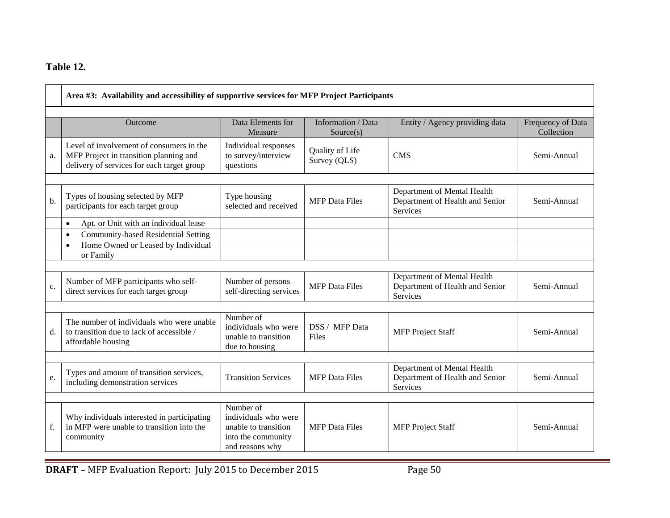## **Table 12.**

|    | Area #3: Availability and accessibility of supportive services for MFP Project Participants                                      |                                                                                                    |                                 |                                                                            |                                 |  |  |
|----|----------------------------------------------------------------------------------------------------------------------------------|----------------------------------------------------------------------------------------------------|---------------------------------|----------------------------------------------------------------------------|---------------------------------|--|--|
|    | <b>Outcome</b>                                                                                                                   | Data Elements for<br>Measure                                                                       | Information / Data<br>Source(s) | Entity / Agency providing data                                             | Frequency of Data<br>Collection |  |  |
| a. | Level of involvement of consumers in the<br>MFP Project in transition planning and<br>delivery of services for each target group | Individual responses<br>to survey/interview<br>questions                                           | Quality of Life<br>Survey (QLS) | <b>CMS</b>                                                                 | Semi-Annual                     |  |  |
| b. | Types of housing selected by MFP<br>participants for each target group                                                           | Type housing<br>selected and received                                                              | <b>MFP</b> Data Files           | Department of Mental Health<br>Department of Health and Senior<br>Services | Semi-Annual                     |  |  |
|    | Apt. or Unit with an individual lease<br>$\bullet$                                                                               |                                                                                                    |                                 |                                                                            |                                 |  |  |
|    | Community-based Residential Setting<br>$\bullet$<br>Home Owned or Leased by Individual<br>$\bullet$<br>or Family                 |                                                                                                    |                                 |                                                                            |                                 |  |  |
| c. | Number of MFP participants who self-<br>direct services for each target group                                                    | Number of persons<br>self-directing services                                                       | <b>MFP</b> Data Files           | Department of Mental Health<br>Department of Health and Senior<br>Services | Semi-Annual                     |  |  |
|    |                                                                                                                                  |                                                                                                    |                                 |                                                                            |                                 |  |  |
| d. | The number of individuals who were unable<br>to transition due to lack of accessible /<br>affordable housing                     | Number of<br>individuals who were<br>unable to transition<br>due to housing                        | DSS / MFP Data<br>Files         | <b>MFP</b> Project Staff                                                   | Semi-Annual                     |  |  |
|    |                                                                                                                                  |                                                                                                    |                                 |                                                                            |                                 |  |  |
| e. | Types and amount of transition services,<br>including demonstration services                                                     | <b>Transition Services</b>                                                                         | <b>MFP</b> Data Files           | Department of Mental Health<br>Department of Health and Senior<br>Services | Semi-Annual                     |  |  |
|    |                                                                                                                                  |                                                                                                    |                                 |                                                                            |                                 |  |  |
| f. | Why individuals interested in participating<br>in MFP were unable to transition into the<br>community                            | Number of<br>individuals who were<br>unable to transition<br>into the community<br>and reasons why | <b>MFP</b> Data Files           | <b>MFP</b> Project Staff                                                   | Semi-Annual                     |  |  |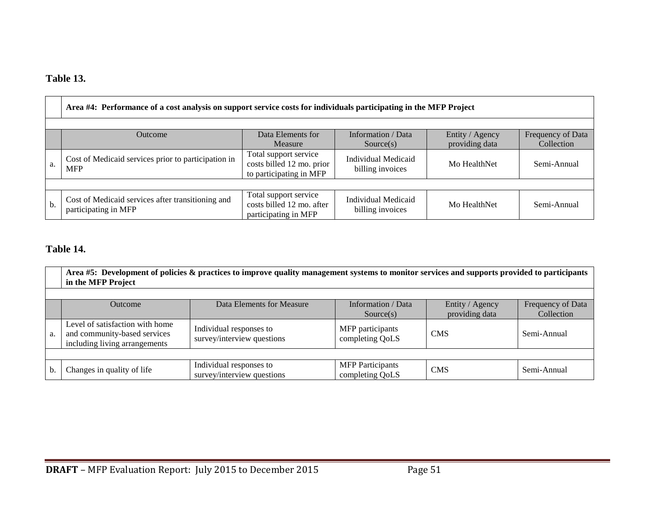## **Table 13.**

|    | Area #4: Performance of a cost analysis on support service costs for individuals participating in the MFP Project                                  |                                                                               |                                                |              |             |  |  |
|----|----------------------------------------------------------------------------------------------------------------------------------------------------|-------------------------------------------------------------------------------|------------------------------------------------|--------------|-------------|--|--|
|    |                                                                                                                                                    |                                                                               |                                                |              |             |  |  |
|    | Data Elements for<br>Information / Data<br>Entity / Agency<br>Frequency of Data<br>Outcome<br>providing data<br>Collection<br>Source(s)<br>Measure |                                                                               |                                                |              |             |  |  |
| a. | Cost of Medicaid services prior to participation in<br><b>MFP</b>                                                                                  | Total support service<br>costs billed 12 mo. prior<br>to participating in MFP | <b>Individual Medicaid</b><br>billing invoices | Mo HealthNet | Semi-Annual |  |  |
|    |                                                                                                                                                    |                                                                               |                                                |              |             |  |  |
| b. | Cost of Medicaid services after transitioning and<br>participating in MFP                                                                          | Total support service<br>costs billed 12 mo. after<br>participating in MFP    | Individual Medicaid<br>billing invoices        | Mo HealthNet | Semi-Annual |  |  |

## **Table 14.**

|    | Area #5: Development of policies $\&$ practices to improve quality management systems to monitor services and supports provided to participants<br>in the MFP Project |                                                       |                                            |                                   |                                 |  |  |  |
|----|-----------------------------------------------------------------------------------------------------------------------------------------------------------------------|-------------------------------------------------------|--------------------------------------------|-----------------------------------|---------------------------------|--|--|--|
|    |                                                                                                                                                                       |                                                       |                                            |                                   |                                 |  |  |  |
|    | Outcome                                                                                                                                                               | Data Elements for Measure                             | Information / Data<br>Source(s)            | Entity / Agency<br>providing data | Frequency of Data<br>Collection |  |  |  |
| a. | Level of satisfaction with home<br>and community-based services<br>including living arrangements                                                                      | Individual responses to<br>survey/interview questions | MFP participants<br>completing QoLS        | <b>CMS</b>                        | Semi-Annual                     |  |  |  |
|    |                                                                                                                                                                       |                                                       |                                            |                                   |                                 |  |  |  |
| b. | Changes in quality of life                                                                                                                                            | Individual responses to<br>survey/interview questions | <b>MFP</b> Participants<br>completing QoLS | <b>CMS</b>                        | Semi-Annual                     |  |  |  |